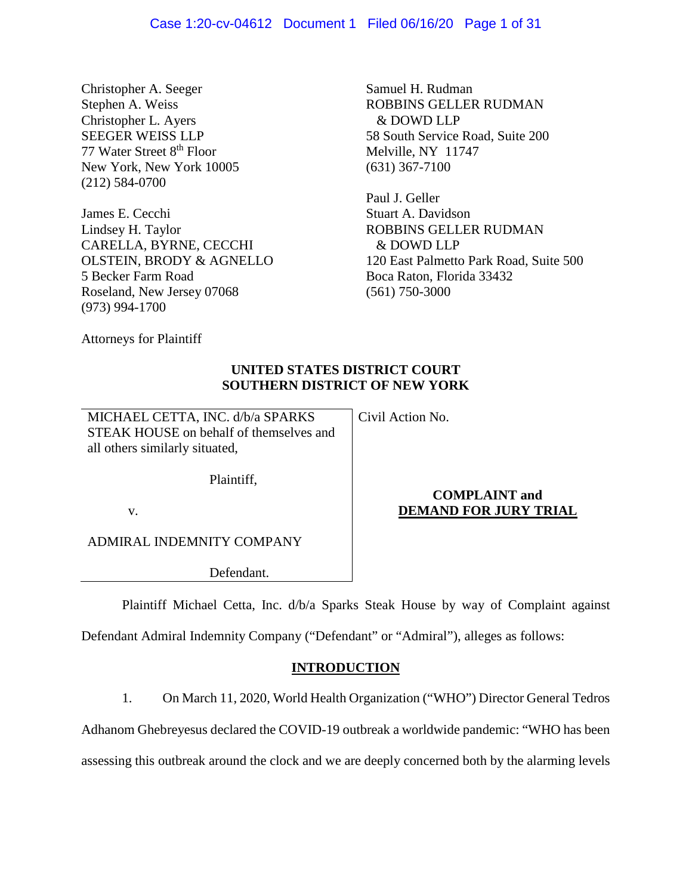Christopher A. Seeger Stephen A. Weiss Christopher L. Ayers SEEGER WEISS LLP 77 Water Street 8th Floor New York, New York 10005 (212) 584-0700

James E. Cecchi Lindsey H. Taylor CARELLA, BYRNE, CECCHI OLSTEIN, BRODY & AGNELLO 5 Becker Farm Road Roseland, New Jersey 07068 (973) 994-1700

Samuel H. Rudman ROBBINS GELLER RUDMAN & DOWD LLP 58 South Service Road, Suite 200 Melville, NY 11747 (631) 367-7100

Paul J. Geller Stuart A. Davidson ROBBINS GELLER RUDMAN & DOWD LLP 120 East Palmetto Park Road, Suite 500 Boca Raton, Florida 33432 (561) 750-3000

Attorneys for Plaintiff

# **UNITED STATES DISTRICT COURT SOUTHERN DISTRICT OF NEW YORK**

MICHAEL CETTA, INC. d/b/a SPARKS STEAK HOUSE on behalf of themselves and all others similarly situated,

Civil Action No.

Plaintiff,

v.

ADMIRAL INDEMNITY COMPANY

Defendant.

# **COMPLAINT and DEMAND FOR JURY TRIAL**

Plaintiff Michael Cetta, Inc. d/b/a Sparks Steak House by way of Complaint against

Defendant Admiral Indemnity Company ("Defendant" or "Admiral"), alleges as follows:

## **INTRODUCTION**

1. On March 11, 2020, World Health Organization ("WHO") Director General Tedros

Adhanom Ghebreyesus declared the COVID-19 outbreak a worldwide pandemic: "WHO has been

assessing this outbreak around the clock and we are deeply concerned both by the alarming levels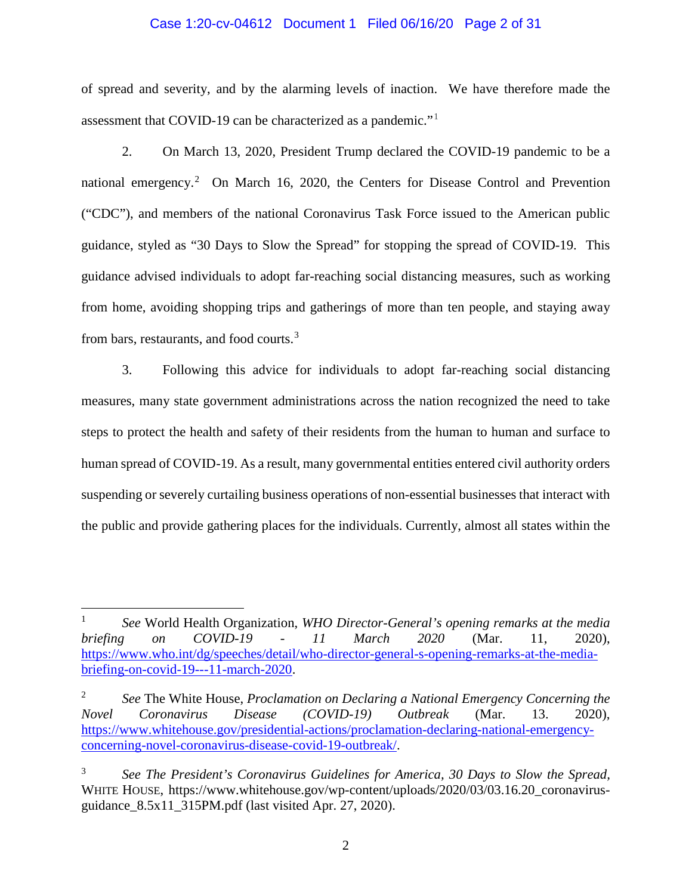## Case 1:20-cv-04612 Document 1 Filed 06/16/20 Page 2 of 31

of spread and severity, and by the alarming levels of inaction. We have therefore made the assessment that COVID-19 can be characterized as a pandemic."[1](#page-1-0)

2. On March 13, 2020, President Trump declared the COVID-19 pandemic to be a national emergency.<sup>[2](#page-1-1)</sup> On March 16, 2020, the Centers for Disease Control and Prevention ("CDC"), and members of the national Coronavirus Task Force issued to the American public guidance, styled as "30 Days to Slow the Spread" for stopping the spread of COVID-19. This guidance advised individuals to adopt far-reaching social distancing measures, such as working from home, avoiding shopping trips and gatherings of more than ten people, and staying away from bars, restaurants, and food courts.<sup>[3](#page-1-2)</sup>

3. Following this advice for individuals to adopt far-reaching social distancing measures, many state government administrations across the nation recognized the need to take steps to protect the health and safety of their residents from the human to human and surface to human spread of COVID-19. As a result, many governmental entities entered civil authority orders suspending or severely curtailing business operations of non-essential businesses that interact with the public and provide gathering places for the individuals. Currently, almost all states within the

<span id="page-1-0"></span> <sup>1</sup> *See* World Health Organization, *WHO Director-General's opening remarks at the media briefing on COVID-19 - 11 March 2020* (Mar. 11, 2020), [https://www.who.int/dg/speeches/detail/who-director-general-s-opening-remarks-at-the-media](https://www.who.int/dg/speeches/detail/who-director-general-s-opening-remarks-at-the-media-briefing-on-covid-19---11-march-2020)[briefing-on-covid-19---11-march-2020.](https://www.who.int/dg/speeches/detail/who-director-general-s-opening-remarks-at-the-media-briefing-on-covid-19---11-march-2020)

<span id="page-1-1"></span><sup>2</sup> *See* The White House, *Proclamation on Declaring a National Emergency Concerning the Novel Coronavirus Disease (COVID-19) Outbreak* (Mar. 13. 2020), [https://www.whitehouse.gov/presidential-actions/proclamation-declaring-national-emergency](https://www.whitehouse.gov/presidential-actions/proclamation-declaring-national-emergency-concerning-novel-coronavirus-disease-covid-19-outbreak/)[concerning-novel-coronavirus-disease-covid-19-outbreak/.](https://www.whitehouse.gov/presidential-actions/proclamation-declaring-national-emergency-concerning-novel-coronavirus-disease-covid-19-outbreak/)

<span id="page-1-2"></span><sup>3</sup> *See The President's Coronavirus Guidelines for America, 30 Days to Slow the Spread,*  WHITE HOUSE, https://www.whitehouse.gov/wp-content/uploads/2020/03/03.16.20\_coronavirusguidance\_8.5x11\_315PM.pdf (last visited Apr. 27, 2020).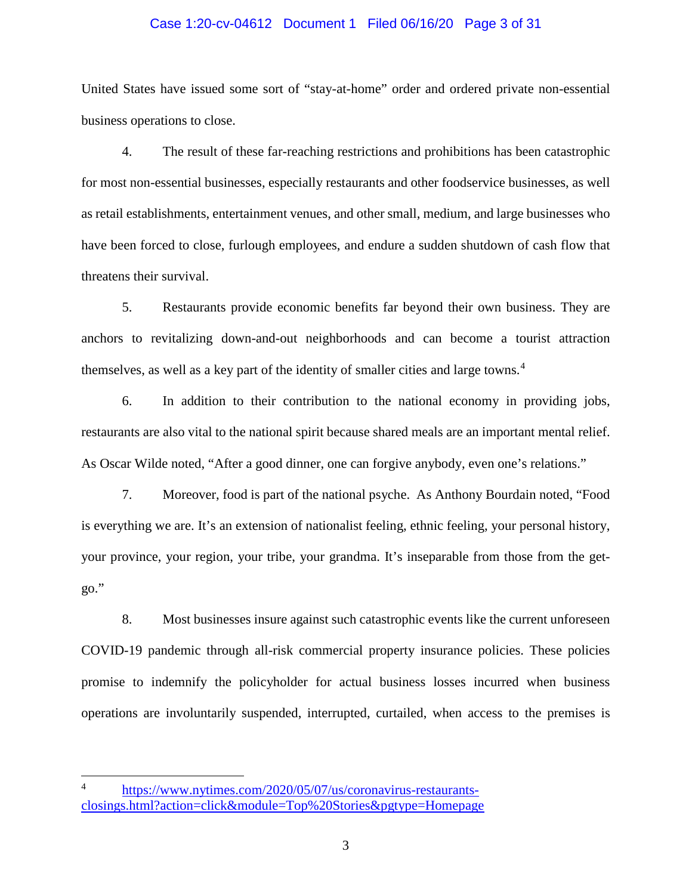## Case 1:20-cv-04612 Document 1 Filed 06/16/20 Page 3 of 31

United States have issued some sort of "stay-at-home" order and ordered private non-essential business operations to close.

4. The result of these far-reaching restrictions and prohibitions has been catastrophic for most non-essential businesses, especially restaurants and other foodservice businesses, as well as retail establishments, entertainment venues, and other small, medium, and large businesses who have been forced to close, furlough employees, and endure a sudden shutdown of cash flow that threatens their survival.

5. Restaurants provide economic benefits far beyond their own business. They are anchors to revitalizing down-and-out neighborhoods and can become a tourist attraction themselves, as well as a key part of the identity of smaller cities and large towns.<sup>[4](#page-2-0)</sup>

6. In addition to their contribution to the national economy in providing jobs, restaurants are also vital to the national spirit because shared meals are an important mental relief. As Oscar Wilde noted, "After a good dinner, one can forgive anybody, even one's relations."

7. Moreover, food is part of the national psyche. As Anthony Bourdain noted, "Food is everything we are. It's an extension of nationalist feeling, ethnic feeling, your personal history, your province, your region, your tribe, your grandma. It's inseparable from those from the getgo."

8. Most businesses insure against such catastrophic events like the current unforeseen COVID-19 pandemic through all-risk commercial property insurance policies. These policies promise to indemnify the policyholder for actual business losses incurred when business operations are involuntarily suspended, interrupted, curtailed, when access to the premises is

<span id="page-2-0"></span> <sup>4</sup> [https://www.nytimes.com/2020/05/07/us/coronavirus-restaurants](https://www.nytimes.com/2020/05/07/us/coronavirus-restaurants-closings.html?action=click&module=Top%20Stories&pgtype=Homepage)[closings.html?action=click&module=Top%20Stories&pgtype=Homepage](https://www.nytimes.com/2020/05/07/us/coronavirus-restaurants-closings.html?action=click&module=Top%20Stories&pgtype=Homepage)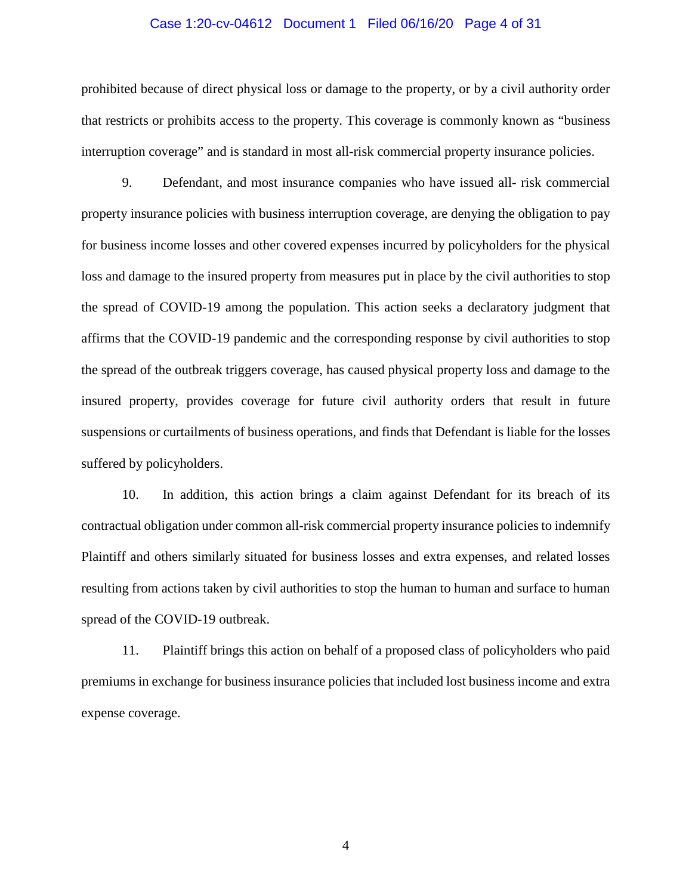## Case 1:20-cv-04612 Document 1 Filed 06/16/20 Page 4 of 31

prohibited because of direct physical loss or damage to the property, or by a civil authority order that restricts or prohibits access to the property. This coverage is commonly known as "business interruption coverage" and is standard in most all-risk commercial property insurance policies.

9. Defendant, and most insurance companies who have issued all- risk commercial property insurance policies with business interruption coverage, are denying the obligation to pay for business income losses and other covered expenses incurred by policyholders for the physical loss and damage to the insured property from measures put in place by the civil authorities to stop the spread of COVID-19 among the population. This action seeks a declaratory judgment that affirms that the COVID-19 pandemic and the corresponding response by civil authorities to stop the spread of the outbreak triggers coverage, has caused physical property loss and damage to the insured property, provides coverage for future civil authority orders that result in future suspensions or curtailments of business operations, and finds that Defendant is liable for the losses suffered by policyholders.

10. In addition, this action brings a claim against Defendant for its breach of its contractual obligation under common all-risk commercial property insurance policies to indemnify Plaintiff and others similarly situated for business losses and extra expenses, and related losses resulting from actions taken by civil authorities to stop the human to human and surface to human spread of the COVID-19 outbreak.

11. Plaintiff brings this action on behalf of a proposed class of policyholders who paid premiums in exchange for business insurance policies that included lost business income and extra expense coverage.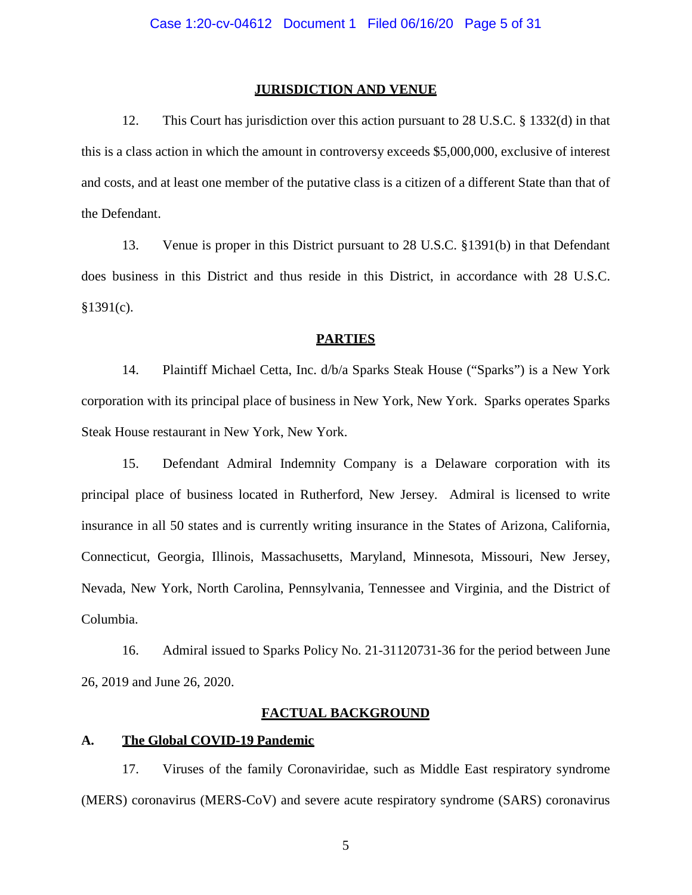### **JURISDICTION AND VENUE**

12. This Court has jurisdiction over this action pursuant to 28 U.S.C. § 1332(d) in that this is a class action in which the amount in controversy exceeds \$5,000,000, exclusive of interest and costs, and at least one member of the putative class is a citizen of a different State than that of the Defendant.

13. Venue is proper in this District pursuant to 28 U.S.C. §1391(b) in that Defendant does business in this District and thus reside in this District, in accordance with 28 U.S.C.  $§1391(c).$ 

## **PARTIES**

14. Plaintiff Michael Cetta, Inc. d/b/a Sparks Steak House ("Sparks") is a New York corporation with its principal place of business in New York, New York. Sparks operates Sparks Steak House restaurant in New York, New York.

15. Defendant Admiral Indemnity Company is a Delaware corporation with its principal place of business located in Rutherford, New Jersey. Admiral is licensed to write insurance in all 50 states and is currently writing insurance in the States of Arizona, California, Connecticut, Georgia, Illinois, Massachusetts, Maryland, Minnesota, Missouri, New Jersey, Nevada, New York, North Carolina, Pennsylvania, Tennessee and Virginia, and the District of Columbia.

16. Admiral issued to Sparks Policy No. 21-31120731-36 for the period between June 26, 2019 and June 26, 2020.

## **FACTUAL BACKGROUND**

## **A. The Global COVID-19 Pandemic**

17. Viruses of the family Coronaviridae, such as Middle East respiratory syndrome (MERS) coronavirus (MERS-CoV) and severe acute respiratory syndrome (SARS) coronavirus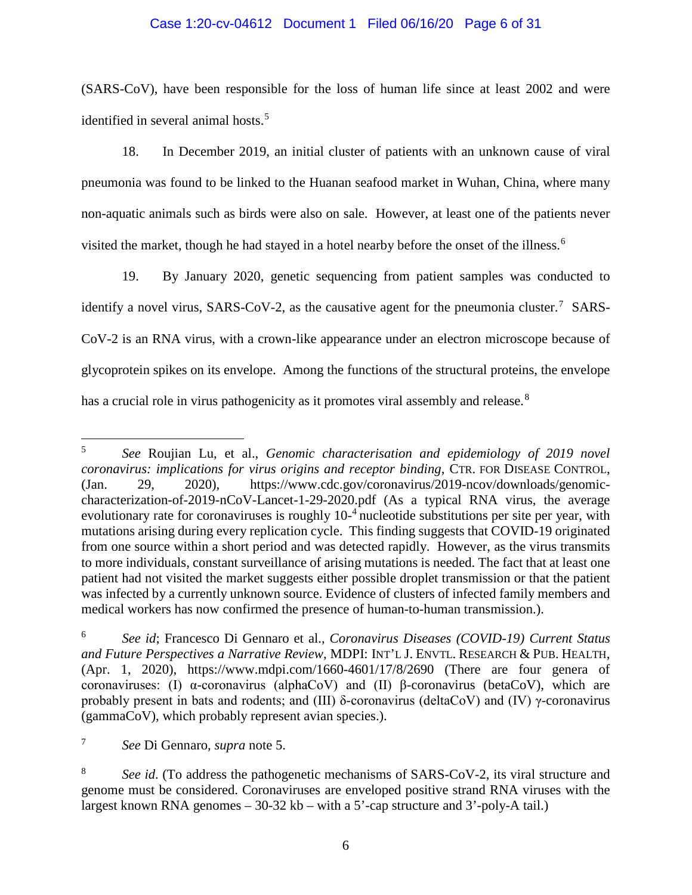## Case 1:20-cv-04612 Document 1 Filed 06/16/20 Page 6 of 31

(SARS-CoV), have been responsible for the loss of human life since at least 2002 and were identified in several animal hosts.<sup>[5](#page-5-0)</sup>

18. In December 2019, an initial cluster of patients with an unknown cause of viral pneumonia was found to be linked to the Huanan seafood market in Wuhan, China, where many non-aquatic animals such as birds were also on sale. However, at least one of the patients never visited the market, though he had stayed in a hotel nearby before the onset of the illness.<sup>[6](#page-5-1)</sup>

19. By January 2020, genetic sequencing from patient samples was conducted to identify a novel virus,  $SARS-CoV-2$ , as the causative agent for the pneumonia cluster.<sup>[7](#page-5-2)</sup> SARS-CoV-2 is an RNA virus, with a crown-like appearance under an electron microscope because of glycoprotein spikes on its envelope. Among the functions of the structural proteins, the envelope has a crucial role in virus pathogenicity as it promotes viral assembly and release.<sup>[8](#page-5-3)</sup>

<span id="page-5-0"></span> <sup>5</sup> *See* Roujian Lu, et al., *Genomic characterisation and epidemiology of 2019 novel coronavirus: implications for virus origins and receptor binding*, CTR. FOR DISEASE CONTROL, (Jan. 29, 2020), https://www.cdc.gov/coronavirus/2019-ncov/downloads/genomiccharacterization-of-2019-nCoV-Lancet-1-29-2020.pdf (As a typical RNA virus, the average evolutionary rate for coronaviruses is roughly 10-<sup>4</sup> nucleotide substitutions per site per year, with mutations arising during every replication cycle. This finding suggests that COVID-19 originated from one source within a short period and was detected rapidly. However, as the virus transmits to more individuals, constant surveillance of arising mutations is needed. The fact that at least one patient had not visited the market suggests either possible droplet transmission or that the patient was infected by a currently unknown source. Evidence of clusters of infected family members and medical workers has now confirmed the presence of human-to-human transmission.).

<span id="page-5-1"></span><sup>6</sup> *See id*; Francesco Di Gennaro et al., *Coronavirus Diseases (COVID-19) Current Status and Future Perspectives a Narrative Review*, MDPI: INT'L J. ENVTL. RESEARCH & PUB. HEALTH, (Apr. 1, 2020), https://www.mdpi.com/1660-4601/17/8/2690 (There are four genera of coronaviruses: (I) α-coronavirus (alphaCoV) and (II) β-coronavirus (betaCoV), which are probably present in bats and rodents; and (III) δ-coronavirus (deltaCoV) and (IV)  $\gamma$ -coronavirus (gammaCoV), which probably represent avian species.).

<span id="page-5-2"></span><sup>7</sup> *See* Di Gennaro, *supra* note 5.

<span id="page-5-3"></span><sup>&</sup>lt;sup>8</sup> *See id.* (To address the pathogenetic mechanisms of SARS-CoV-2, its viral structure and genome must be considered. Coronaviruses are enveloped positive strand RNA viruses with the largest known RNA genomes – 30-32 kb – with a 5'-cap structure and 3'-poly-A tail.)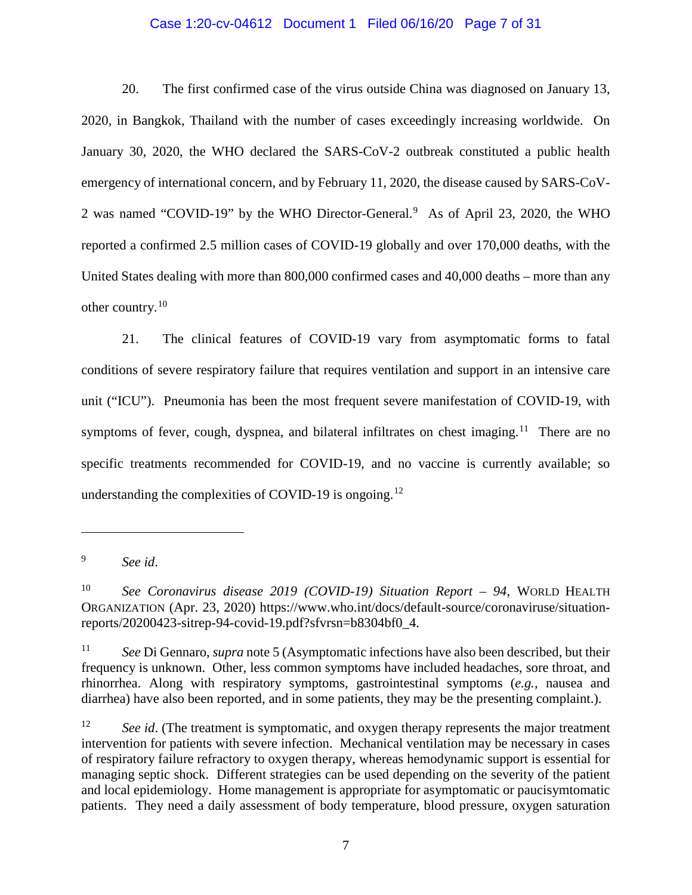## Case 1:20-cv-04612 Document 1 Filed 06/16/20 Page 7 of 31

20. The first confirmed case of the virus outside China was diagnosed on January 13, 2020, in Bangkok, Thailand with the number of cases exceedingly increasing worldwide. On January 30, 2020, the WHO declared the SARS-CoV-2 outbreak constituted a public health emergency of international concern, and by February 11, 2020, the disease caused by SARS-CoV-2 was named "COVID-1[9](#page-6-0)" by the WHO Director-General.<sup>9</sup> As of April 23, 2020, the WHO reported a confirmed 2.5 million cases of COVID-19 globally and over 170,000 deaths, with the United States dealing with more than 800,000 confirmed cases and 40,000 deaths – more than any other country.[10](#page-6-1) 

21. The clinical features of COVID-19 vary from asymptomatic forms to fatal conditions of severe respiratory failure that requires ventilation and support in an intensive care unit ("ICU"). Pneumonia has been the most frequent severe manifestation of COVID-19, with symptoms of fever, cough, dyspnea, and bilateral infiltrates on chest imaging.<sup>11</sup> There are no specific treatments recommended for COVID-19, and no vaccine is currently available; so understanding the complexities of COVID-19 is ongoing.<sup>[12](#page-6-3)</sup>

<span id="page-6-0"></span><sup>9</sup> *See id*.

<span id="page-6-1"></span><sup>10</sup> *See Coronavirus disease 2019 (COVID-19) Situation Report – 94*, WORLD HEALTH ORGANIZATION (Apr. 23, 2020) https://www.who.int/docs/default-source/coronaviruse/situationreports/20200423-sitrep-94-covid-19.pdf?sfvrsn=b8304bf0\_4.

<span id="page-6-2"></span><sup>11</sup> *See* Di Gennaro, *supra* note 5 (Asymptomatic infections have also been described, but their frequency is unknown. Other, less common symptoms have included headaches, sore throat, and rhinorrhea. Along with respiratory symptoms, gastrointestinal symptoms (*e.g.*, nausea and diarrhea) have also been reported, and in some patients, they may be the presenting complaint.).

<span id="page-6-3"></span><sup>&</sup>lt;sup>12</sup> *See id.* (The treatment is symptomatic, and oxygen therapy represents the major treatment intervention for patients with severe infection. Mechanical ventilation may be necessary in cases of respiratory failure refractory to oxygen therapy, whereas hemodynamic support is essential for managing septic shock. Different strategies can be used depending on the severity of the patient and local epidemiology. Home management is appropriate for asymptomatic or paucisymtomatic patients. They need a daily assessment of body temperature, blood pressure, oxygen saturation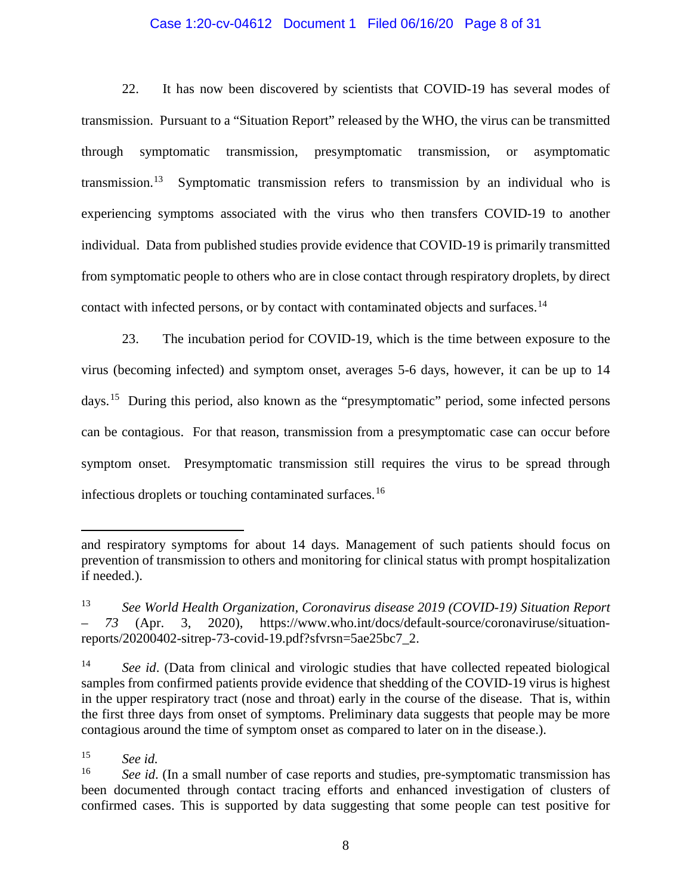## Case 1:20-cv-04612 Document 1 Filed 06/16/20 Page 8 of 31

22. It has now been discovered by scientists that COVID-19 has several modes of transmission. Pursuant to a "Situation Report" released by the WHO, the virus can be transmitted through symptomatic transmission, presymptomatic transmission, or asymptomatic transmission.<sup>[13](#page-7-0)</sup> Symptomatic transmission refers to transmission by an individual who is experiencing symptoms associated with the virus who then transfers COVID-19 to another individual. Data from published studies provide evidence that COVID-19 is primarily transmitted from symptomatic people to others who are in close contact through respiratory droplets, by direct contact with infected persons, or by contact with contaminated objects and surfaces.<sup>[14](#page-7-1)</sup>

23. The incubation period for COVID-19, which is the time between exposure to the virus (becoming infected) and symptom onset, averages 5-6 days, however, it can be up to 14 days.[15](#page-7-2) During this period, also known as the "presymptomatic" period, some infected persons can be contagious. For that reason, transmission from a presymptomatic case can occur before symptom onset. Presymptomatic transmission still requires the virus to be spread through infectious droplets or touching contaminated surfaces.[16](#page-7-3)

and respiratory symptoms for about 14 days. Management of such patients should focus on prevention of transmission to others and monitoring for clinical status with prompt hospitalization if needed.).

<span id="page-7-0"></span><sup>13</sup> *See World Health Organization, Coronavirus disease 2019 (COVID-19) Situation Report – 73* (Apr. 3, 2020), https://www.who.int/docs/default-source/coronaviruse/situationreports/20200402-sitrep-73-covid-19.pdf?sfvrsn=5ae25bc7\_2.

<span id="page-7-1"></span><sup>&</sup>lt;sup>14</sup> *See id.* (Data from clinical and virologic studies that have collected repeated biological samples from confirmed patients provide evidence that shedding of the COVID-19 virus is highest in the upper respiratory tract (nose and throat) early in the course of the disease. That is, within the first three days from onset of symptoms. Preliminary data suggests that people may be more contagious around the time of symptom onset as compared to later on in the disease.).

<span id="page-7-2"></span> $\begin{array}{cc} 15 & \text{See } id. \\ 16 & \text{See } id. \end{array}$ 

<span id="page-7-3"></span>See id. (In a small number of case reports and studies, pre-symptomatic transmission has been documented through contact tracing efforts and enhanced investigation of clusters of confirmed cases. This is supported by data suggesting that some people can test positive for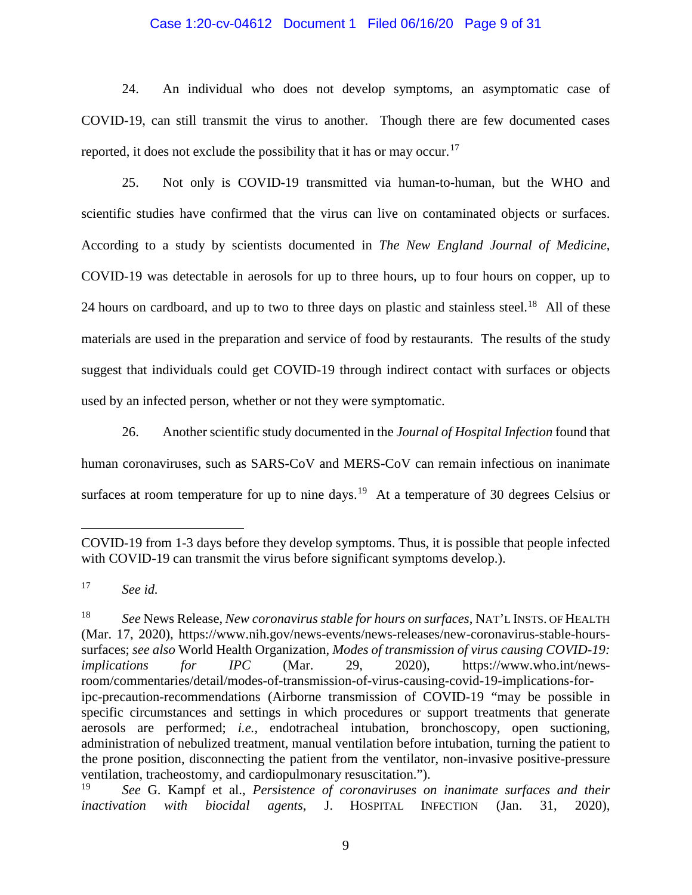## Case 1:20-cv-04612 Document 1 Filed 06/16/20 Page 9 of 31

24. An individual who does not develop symptoms, an asymptomatic case of COVID-19, can still transmit the virus to another. Though there are few documented cases reported, it does not exclude the possibility that it has or may occur.<sup>[17](#page-8-0)</sup>

25. Not only is COVID-19 transmitted via human-to-human, but the WHO and scientific studies have confirmed that the virus can live on contaminated objects or surfaces. According to a study by scientists documented in *The New England Journal of Medicine*, COVID-19 was detectable in aerosols for up to three hours, up to four hours on copper, up to 24 hours on cardboard, and up to two to three days on plastic and stainless steel.<sup>[18](#page-8-1)</sup> All of these materials are used in the preparation and service of food by restaurants. The results of the study suggest that individuals could get COVID-19 through indirect contact with surfaces or objects used by an infected person, whether or not they were symptomatic.

26. Another scientific study documented in the *Journal of Hospital Infection* found that human coronaviruses, such as SARS-CoV and MERS-CoV can remain infectious on inanimate surfaces at room temperature for up to nine days.<sup>19</sup> At a temperature of 30 degrees Celsius or

COVID-19 from 1-3 days before they develop symptoms. Thus, it is possible that people infected with COVID-19 can transmit the virus before significant symptoms develop.).

<span id="page-8-0"></span><sup>17</sup> *See id.*

<span id="page-8-1"></span><sup>18</sup> *See* News Release, *New coronavirus stable for hours on surfaces*, NAT'L INSTS. OF HEALTH (Mar. 17, 2020), https://www.nih.gov/news-events/news-releases/new-coronavirus-stable-hourssurfaces; *see also* World Health Organization, *Modes of transmission of virus causing COVID-19: implications for IPC* (Mar. 29, 2020), https://www.who.int/newsroom/commentaries/detail/modes-of-transmission-of-virus-causing-covid-19-implications-foripc-precaution-recommendations (Airborne transmission of COVID-19 "may be possible in specific circumstances and settings in which procedures or support treatments that generate aerosols are performed; *i.e.*, endotracheal intubation, bronchoscopy, open suctioning, administration of nebulized treatment, manual ventilation before intubation, turning the patient to the prone position, disconnecting the patient from the ventilator, non-invasive positive-pressure ventilation, tracheostomy, and cardiopulmonary resuscitation.").

<span id="page-8-2"></span><sup>19</sup> *See* G. Kampf et al., *Persistence of coronaviruses on inanimate surfaces and their inactivation with biocidal agents*, J. HOSPITAL INFECTION (Jan. 31, 2020),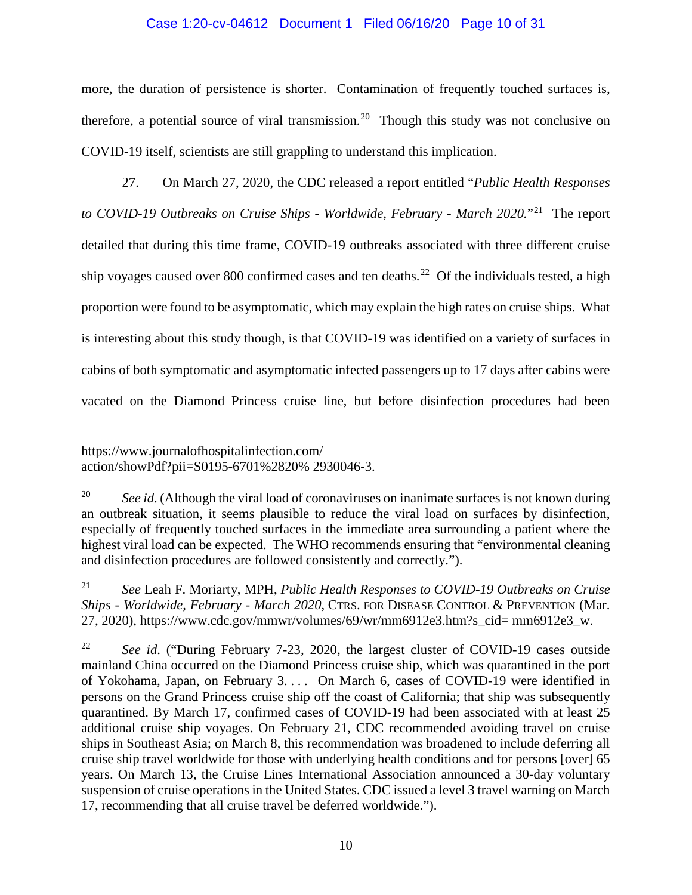## Case 1:20-cv-04612 Document 1 Filed 06/16/20 Page 10 of 31

more, the duration of persistence is shorter. Contamination of frequently touched surfaces is, therefore, a potential source of viral transmission.<sup>[20](#page-9-0)</sup> Though this study was not conclusive on COVID-19 itself, scientists are still grappling to understand this implication.

27. On March 27, 2020, the CDC released a report entitled "*Public Health Responses to COVID-19 Outbreaks on Cruise Ships - Worldwide, February - March 2020.*"[21](#page-9-1)The report detailed that during this time frame, COVID-19 outbreaks associated with three different cruise ship voyages caused over 800 confirmed cases and ten deaths.<sup>[22](#page-9-2)</sup> Of the individuals tested, a high proportion were found to be asymptomatic, which may explain the high rates on cruise ships. What is interesting about this study though, is that COVID-19 was identified on a variety of surfaces in cabins of both symptomatic and asymptomatic infected passengers up to 17 days after cabins were vacated on the Diamond Princess cruise line, but before disinfection procedures had been

https://www.journalofhospitalinfection.com/ action/showPdf?pii=S0195-6701%2820% 2930046-3.

<span id="page-9-0"></span><sup>&</sup>lt;sup>20</sup> *See id.* (Although the viral load of coronaviruses on inanimate surfaces is not known during an outbreak situation, it seems plausible to reduce the viral load on surfaces by disinfection, especially of frequently touched surfaces in the immediate area surrounding a patient where the highest viral load can be expected. The WHO recommends ensuring that "environmental cleaning and disinfection procedures are followed consistently and correctly.").

<span id="page-9-1"></span><sup>21</sup> *See* Leah F. Moriarty, MPH, *Public Health Responses to COVID-19 Outbreaks on Cruise Ships - Worldwide, February - March 2020*, CTRS. FOR DISEASE CONTROL & PREVENTION (Mar. 27, 2020), https://www.cdc.gov/mmwr/volumes/69/wr/mm6912e3.htm?s\_cid= mm6912e3\_w.

<span id="page-9-2"></span><sup>22</sup> *See id*. ("During February 7-23, 2020, the largest cluster of COVID-19 cases outside mainland China occurred on the Diamond Princess cruise ship, which was quarantined in the port of Yokohama, Japan, on February 3. . . . On March 6, cases of COVID-19 were identified in persons on the Grand Princess cruise ship off the coast of California; that ship was subsequently quarantined. By March 17, confirmed cases of COVID-19 had been associated with at least 25 additional cruise ship voyages. On February 21, CDC recommended avoiding travel on cruise ships in Southeast Asia; on March 8, this recommendation was broadened to include deferring all cruise ship travel worldwide for those with underlying health conditions and for persons [over] 65 years. On March 13, the Cruise Lines International Association announced a 30-day voluntary suspension of cruise operations in the United States. CDC issued a level 3 travel warning on March 17, recommending that all cruise travel be deferred worldwide.").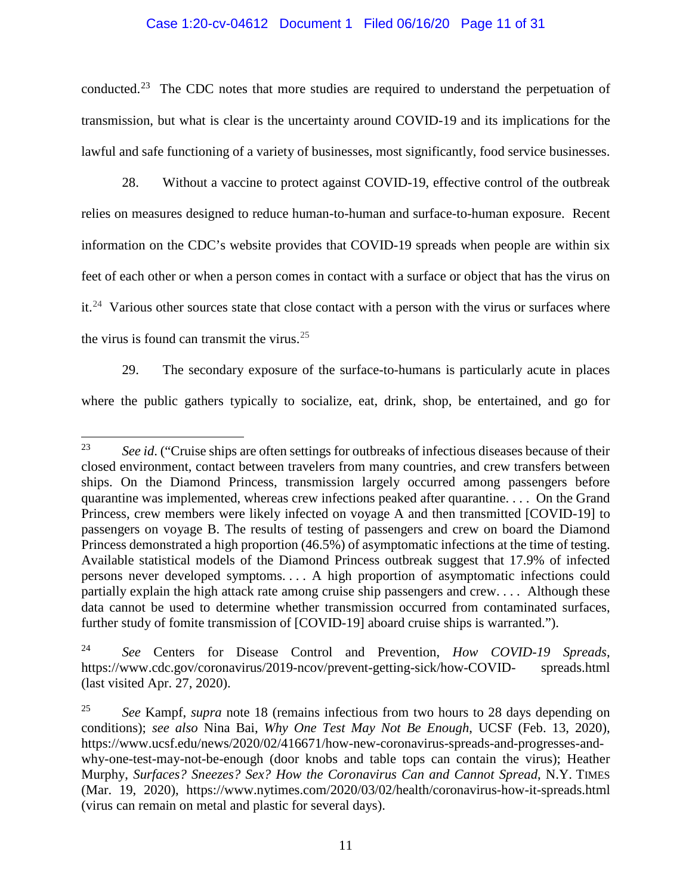## Case 1:20-cv-04612 Document 1 Filed 06/16/20 Page 11 of 31

conducted.<sup>23</sup> The CDC notes that more studies are required to understand the perpetuation of transmission, but what is clear is the uncertainty around COVID-19 and its implications for the lawful and safe functioning of a variety of businesses, most significantly, food service businesses.

28. Without a vaccine to protect against COVID-19, effective control of the outbreak relies on measures designed to reduce human-to-human and surface-to-human exposure. Recent information on the CDC's website provides that COVID-19 spreads when people are within six feet of each other or when a person comes in contact with a surface or object that has the virus on it.<sup>[24](#page-10-1)</sup> Various other sources state that close contact with a person with the virus or surfaces where the virus is found can transmit the virus. $25$ 

29. The secondary exposure of the surface-to-humans is particularly acute in places where the public gathers typically to socialize, eat, drink, shop, be entertained, and go for

<span id="page-10-0"></span><sup>&</sup>lt;sup>23</sup> See id. ("Cruise ships are often settings for outbreaks of infectious diseases because of their closed environment, contact between travelers from many countries, and crew transfers between ships. On the Diamond Princess, transmission largely occurred among passengers before quarantine was implemented, whereas crew infections peaked after quarantine. . . . On the Grand Princess, crew members were likely infected on voyage A and then transmitted [COVID-19] to passengers on voyage B. The results of testing of passengers and crew on board the Diamond Princess demonstrated a high proportion (46.5%) of asymptomatic infections at the time of testing. Available statistical models of the Diamond Princess outbreak suggest that 17.9% of infected persons never developed symptoms. . . . A high proportion of asymptomatic infections could partially explain the high attack rate among cruise ship passengers and crew. . . . Although these data cannot be used to determine whether transmission occurred from contaminated surfaces, further study of fomite transmission of [COVID-19] aboard cruise ships is warranted.").

<span id="page-10-1"></span><sup>24</sup> *See* Centers for Disease Control and Prevention, *How COVID-19 Spreads*, https://www.cdc.gov/coronavirus/2019-ncov/prevent-getting-sick/how-COVID- spreads.html (last visited Apr. 27, 2020).

<span id="page-10-2"></span><sup>25</sup> *See* Kampf, *supra* note 18 (remains infectious from two hours to 28 days depending on conditions); *see also* Nina Bai, *Why One Test May Not Be Enough*, UCSF (Feb. 13, 2020), https://www.ucsf.edu/news/2020/02/416671/how-new-coronavirus-spreads-and-progresses-andwhy-one-test-may-not-be-enough (door knobs and table tops can contain the virus); Heather Murphy, *Surfaces? Sneezes? Sex? How the Coronavirus Can and Cannot Spread*, N.Y. TIMES (Mar. 19, 2020), https://www.nytimes.com/2020/03/02/health/coronavirus-how-it-spreads.html (virus can remain on metal and plastic for several days).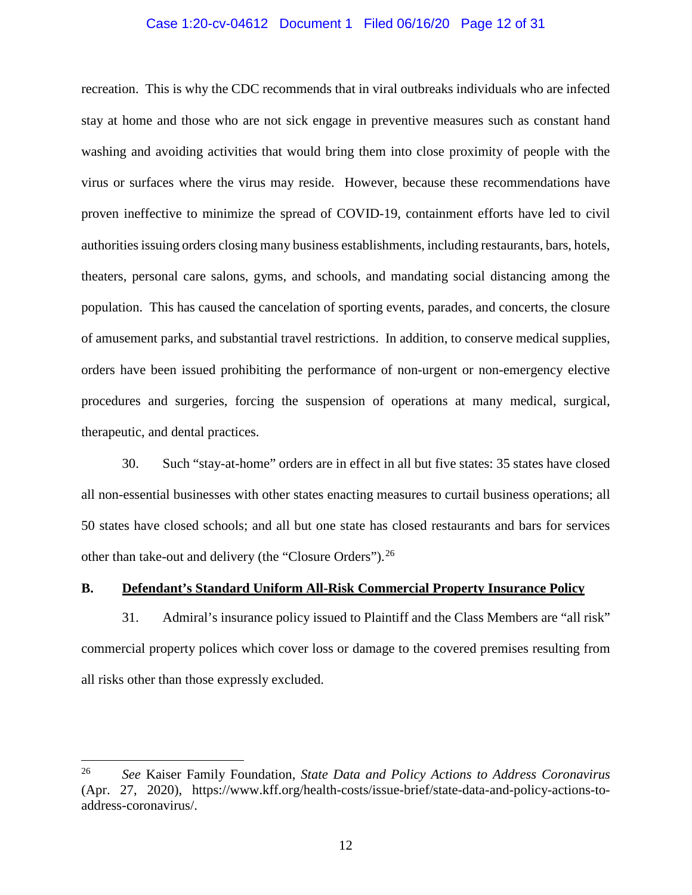### Case 1:20-cv-04612 Document 1 Filed 06/16/20 Page 12 of 31

recreation. This is why the CDC recommends that in viral outbreaks individuals who are infected stay at home and those who are not sick engage in preventive measures such as constant hand washing and avoiding activities that would bring them into close proximity of people with the virus or surfaces where the virus may reside. However, because these recommendations have proven ineffective to minimize the spread of COVID-19, containment efforts have led to civil authorities issuing orders closing many business establishments, including restaurants, bars, hotels, theaters, personal care salons, gyms, and schools, and mandating social distancing among the population. This has caused the cancelation of sporting events, parades, and concerts, the closure of amusement parks, and substantial travel restrictions. In addition, to conserve medical supplies, orders have been issued prohibiting the performance of non-urgent or non-emergency elective procedures and surgeries, forcing the suspension of operations at many medical, surgical, therapeutic, and dental practices.

30. Such "stay-at-home" orders are in effect in all but five states: 35 states have closed all non-essential businesses with other states enacting measures to curtail business operations; all 50 states have closed schools; and all but one state has closed restaurants and bars for services other than take-out and delivery (the "Closure Orders").[26](#page-11-0)

## **B. Defendant's Standard Uniform All-Risk Commercial Property Insurance Policy**

31. Admiral's insurance policy issued to Plaintiff and the Class Members are "all risk" commercial property polices which cover loss or damage to the covered premises resulting from all risks other than those expressly excluded.

<span id="page-11-0"></span> <sup>26</sup> *See* Kaiser Family Foundation, *State Data and Policy Actions to Address Coronavirus*  (Apr. 27, 2020), https://www.kff.org/health-costs/issue-brief/state-data-and-policy-actions-toaddress-coronavirus/.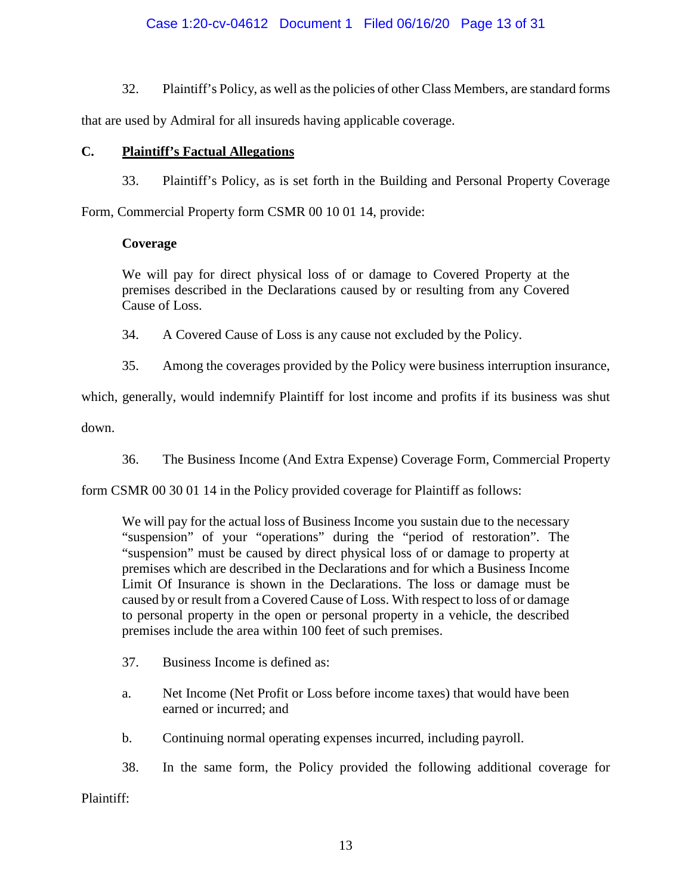# Case 1:20-cv-04612 Document 1 Filed 06/16/20 Page 13 of 31

32. Plaintiff's Policy, as well as the policies of other Class Members, are standard forms

that are used by Admiral for all insureds having applicable coverage.

## **C. Plaintiff's Factual Allegations**

33. Plaintiff's Policy, as is set forth in the Building and Personal Property Coverage

Form, Commercial Property form CSMR 00 10 01 14, provide:

## **Coverage**

We will pay for direct physical loss of or damage to Covered Property at the premises described in the Declarations caused by or resulting from any Covered Cause of Loss.

34. A Covered Cause of Loss is any cause not excluded by the Policy.

35. Among the coverages provided by the Policy were business interruption insurance,

which, generally, would indemnify Plaintiff for lost income and profits if its business was shut down.

36. The Business Income (And Extra Expense) Coverage Form, Commercial Property

form CSMR 00 30 01 14 in the Policy provided coverage for Plaintiff as follows:

We will pay for the actual loss of Business Income you sustain due to the necessary "suspension" of your "operations" during the "period of restoration". The "suspension" must be caused by direct physical loss of or damage to property at premises which are described in the Declarations and for which a Business Income Limit Of Insurance is shown in the Declarations. The loss or damage must be caused by or result from a Covered Cause of Loss. With respect to loss of or damage to personal property in the open or personal property in a vehicle, the described premises include the area within 100 feet of such premises.

- 37. Business Income is defined as:
- a. Net Income (Net Profit or Loss before income taxes) that would have been earned or incurred; and
- b. Continuing normal operating expenses incurred, including payroll.
- 38. In the same form, the Policy provided the following additional coverage for

Plaintiff: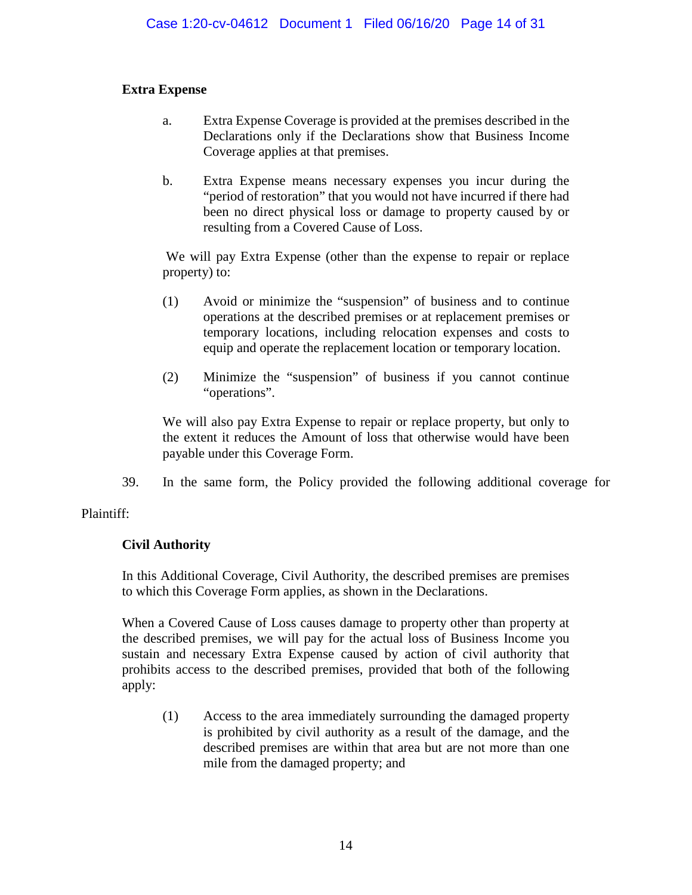# **Extra Expense**

- a. Extra Expense Coverage is provided at the premises described in the Declarations only if the Declarations show that Business Income Coverage applies at that premises.
- b. Extra Expense means necessary expenses you incur during the "period of restoration" that you would not have incurred if there had been no direct physical loss or damage to property caused by or resulting from a Covered Cause of Loss.

We will pay Extra Expense (other than the expense to repair or replace property) to:

- (1) Avoid or minimize the "suspension" of business and to continue operations at the described premises or at replacement premises or temporary locations, including relocation expenses and costs to equip and operate the replacement location or temporary location.
- (2) Minimize the "suspension" of business if you cannot continue "operations".

We will also pay Extra Expense to repair or replace property, but only to the extent it reduces the Amount of loss that otherwise would have been payable under this Coverage Form.

39. In the same form, the Policy provided the following additional coverage for

# Plaintiff:

# **Civil Authority**

In this Additional Coverage, Civil Authority, the described premises are premises to which this Coverage Form applies, as shown in the Declarations.

When a Covered Cause of Loss causes damage to property other than property at the described premises, we will pay for the actual loss of Business Income you sustain and necessary Extra Expense caused by action of civil authority that prohibits access to the described premises, provided that both of the following apply:

(1) Access to the area immediately surrounding the damaged property is prohibited by civil authority as a result of the damage, and the described premises are within that area but are not more than one mile from the damaged property; and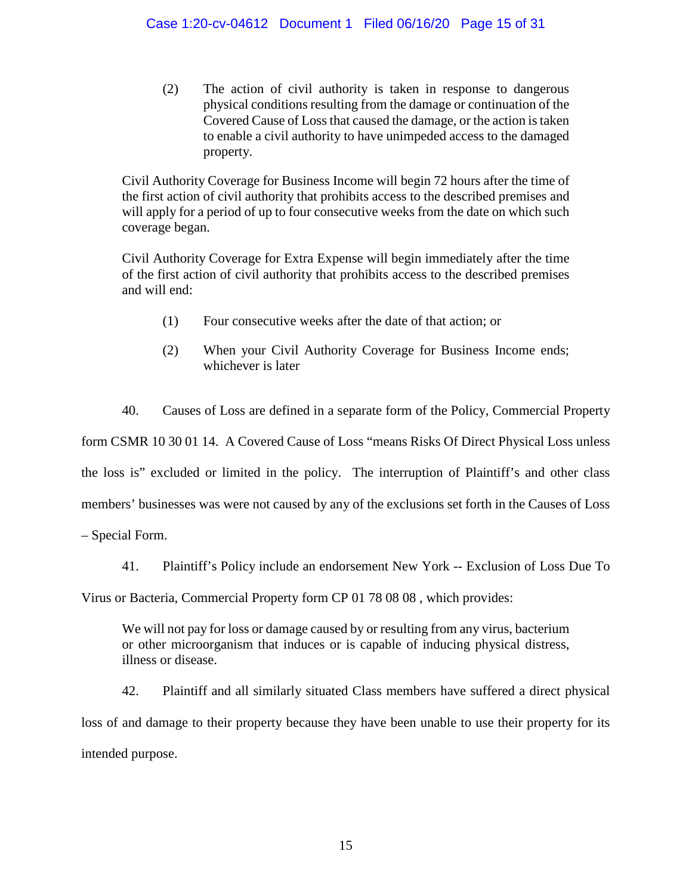(2) The action of civil authority is taken in response to dangerous physical conditions resulting from the damage or continuation of the Covered Cause of Loss that caused the damage, or the action is taken to enable a civil authority to have unimpeded access to the damaged property.

Civil Authority Coverage for Business Income will begin 72 hours after the time of the first action of civil authority that prohibits access to the described premises and will apply for a period of up to four consecutive weeks from the date on which such coverage began.

Civil Authority Coverage for Extra Expense will begin immediately after the time of the first action of civil authority that prohibits access to the described premises and will end:

- (1) Four consecutive weeks after the date of that action; or
- (2) When your Civil Authority Coverage for Business Income ends; whichever is later

40. Causes of Loss are defined in a separate form of the Policy, Commercial Property

form CSMR 10 30 01 14. A Covered Cause of Loss "means Risks Of Direct Physical Loss unless

the loss is" excluded or limited in the policy. The interruption of Plaintiff's and other class

members' businesses was were not caused by any of the exclusions set forth in the Causes of Loss

– Special Form.

41. Plaintiff's Policy include an endorsement New York -- Exclusion of Loss Due To

Virus or Bacteria, Commercial Property form CP 01 78 08 08 , which provides:

We will not pay for loss or damage caused by or resulting from any virus, bacterium or other microorganism that induces or is capable of inducing physical distress, illness or disease.

42. Plaintiff and all similarly situated Class members have suffered a direct physical loss of and damage to their property because they have been unable to use their property for its intended purpose.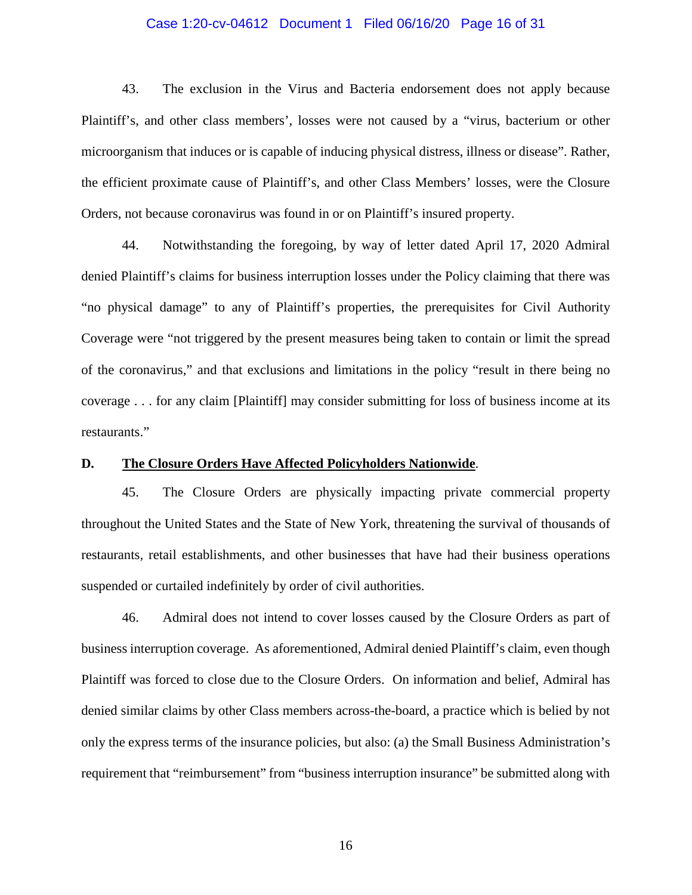## Case 1:20-cv-04612 Document 1 Filed 06/16/20 Page 16 of 31

43. The exclusion in the Virus and Bacteria endorsement does not apply because Plaintiff's, and other class members', losses were not caused by a "virus, bacterium or other microorganism that induces or is capable of inducing physical distress, illness or disease". Rather, the efficient proximate cause of Plaintiff's, and other Class Members' losses, were the Closure Orders, not because coronavirus was found in or on Plaintiff's insured property.

44. Notwithstanding the foregoing, by way of letter dated April 17, 2020 Admiral denied Plaintiff's claims for business interruption losses under the Policy claiming that there was "no physical damage" to any of Plaintiff's properties, the prerequisites for Civil Authority Coverage were "not triggered by the present measures being taken to contain or limit the spread of the coronavirus," and that exclusions and limitations in the policy "result in there being no coverage . . . for any claim [Plaintiff] may consider submitting for loss of business income at its restaurants."

## **D. The Closure Orders Have Affected Policyholders Nationwide**.

45. The Closure Orders are physically impacting private commercial property throughout the United States and the State of New York, threatening the survival of thousands of restaurants, retail establishments, and other businesses that have had their business operations suspended or curtailed indefinitely by order of civil authorities.

46. Admiral does not intend to cover losses caused by the Closure Orders as part of business interruption coverage. As aforementioned, Admiral denied Plaintiff's claim, even though Plaintiff was forced to close due to the Closure Orders. On information and belief, Admiral has denied similar claims by other Class members across-the-board, a practice which is belied by not only the express terms of the insurance policies, but also: (a) the Small Business Administration's requirement that "reimbursement" from "business interruption insurance" be submitted along with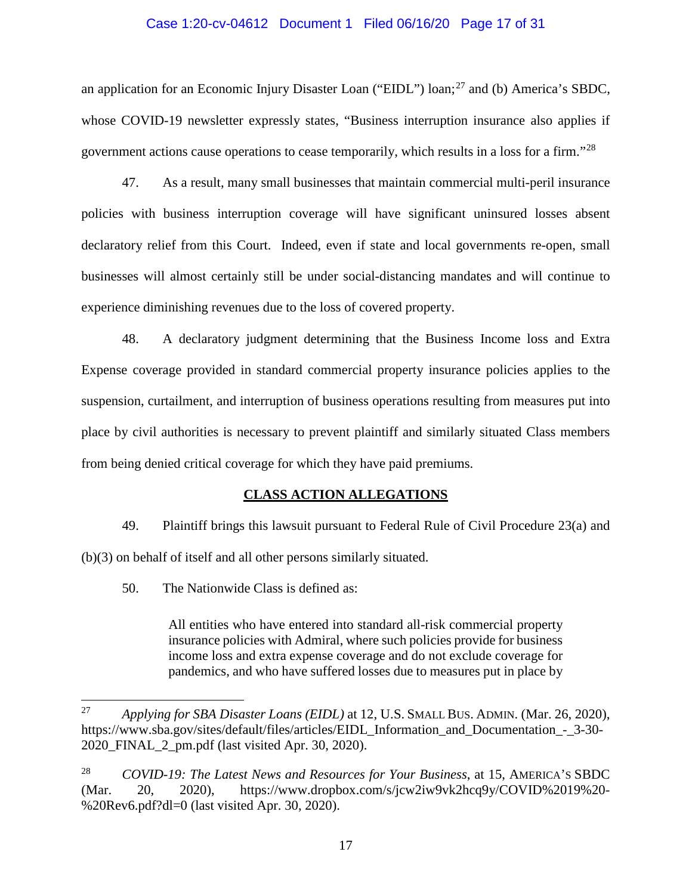## Case 1:20-cv-04612 Document 1 Filed 06/16/20 Page 17 of 31

an application for an Economic Injury Disaster Loan ("EIDL") loan;<sup>[27](#page-16-0)</sup> and (b) America's SBDC, whose COVID-19 newsletter expressly states, "Business interruption insurance also applies if government actions cause operations to cease temporarily, which results in a loss for a firm."[28](#page-16-1)

47. As a result, many small businesses that maintain commercial multi-peril insurance policies with business interruption coverage will have significant uninsured losses absent declaratory relief from this Court. Indeed, even if state and local governments re-open, small businesses will almost certainly still be under social-distancing mandates and will continue to experience diminishing revenues due to the loss of covered property.

48. A declaratory judgment determining that the Business Income loss and Extra Expense coverage provided in standard commercial property insurance policies applies to the suspension, curtailment, and interruption of business operations resulting from measures put into place by civil authorities is necessary to prevent plaintiff and similarly situated Class members from being denied critical coverage for which they have paid premiums.

## **CLASS ACTION ALLEGATIONS**

49. Plaintiff brings this lawsuit pursuant to Federal Rule of Civil Procedure 23(a) and (b)(3) on behalf of itself and all other persons similarly situated.

50. The Nationwide Class is defined as:

All entities who have entered into standard all-risk commercial property insurance policies with Admiral, where such policies provide for business income loss and extra expense coverage and do not exclude coverage for pandemics, and who have suffered losses due to measures put in place by

<span id="page-16-0"></span> <sup>27</sup> *Applying for SBA Disaster Loans (EIDL)* at 12, U.S. SMALL BUS. ADMIN. (Mar. 26, 2020), https://www.sba.gov/sites/default/files/articles/EIDL Information and Documentation - 3-30-2020\_FINAL\_2\_pm.pdf (last visited Apr. 30, 2020).

<span id="page-16-1"></span><sup>28</sup> *COVID-19: The Latest News and Resources for Your Business*, at 15, AMERICA'S SBDC (Mar. 20, 2020), https://www.dropbox.com/s/jcw2iw9vk2hcq9y/COVID%2019%20- %20Rev6.pdf?dl=0 (last visited Apr. 30, 2020).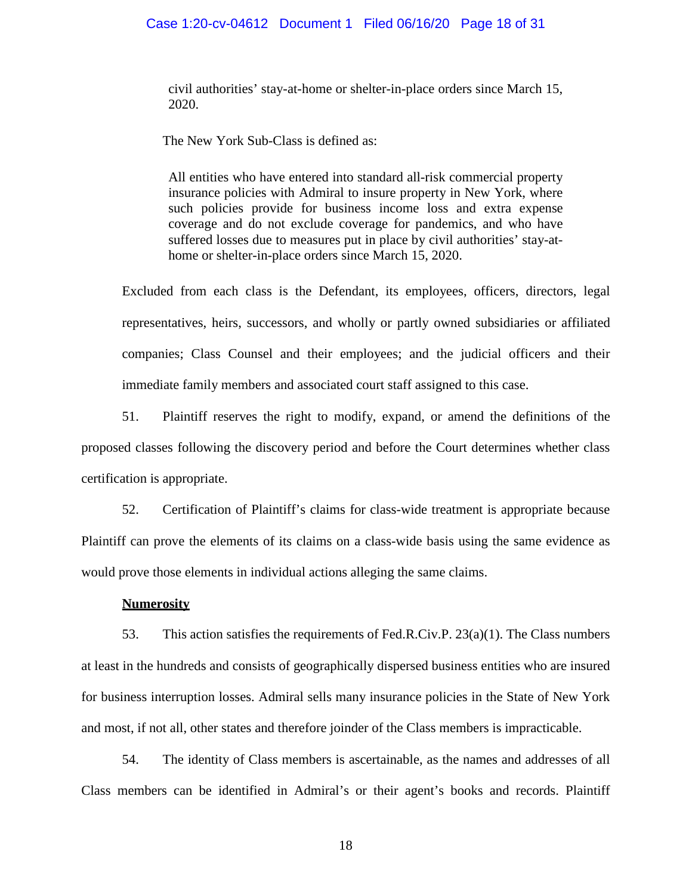## Case 1:20-cv-04612 Document 1 Filed 06/16/20 Page 18 of 31

civil authorities' stay-at-home or shelter-in-place orders since March 15, 2020.

The New York Sub-Class is defined as:

All entities who have entered into standard all-risk commercial property insurance policies with Admiral to insure property in New York, where such policies provide for business income loss and extra expense coverage and do not exclude coverage for pandemics, and who have suffered losses due to measures put in place by civil authorities' stay-athome or shelter-in-place orders since March 15, 2020.

Excluded from each class is the Defendant, its employees, officers, directors, legal representatives, heirs, successors, and wholly or partly owned subsidiaries or affiliated companies; Class Counsel and their employees; and the judicial officers and their immediate family members and associated court staff assigned to this case.

51. Plaintiff reserves the right to modify, expand, or amend the definitions of the proposed classes following the discovery period and before the Court determines whether class certification is appropriate.

52. Certification of Plaintiff's claims for class-wide treatment is appropriate because Plaintiff can prove the elements of its claims on a class-wide basis using the same evidence as would prove those elements in individual actions alleging the same claims.

#### **Numerosity**

53. This action satisfies the requirements of Fed.R.Civ.P. 23(a)(1). The Class numbers at least in the hundreds and consists of geographically dispersed business entities who are insured for business interruption losses. Admiral sells many insurance policies in the State of New York and most, if not all, other states and therefore joinder of the Class members is impracticable.

54. The identity of Class members is ascertainable, as the names and addresses of all Class members can be identified in Admiral's or their agent's books and records. Plaintiff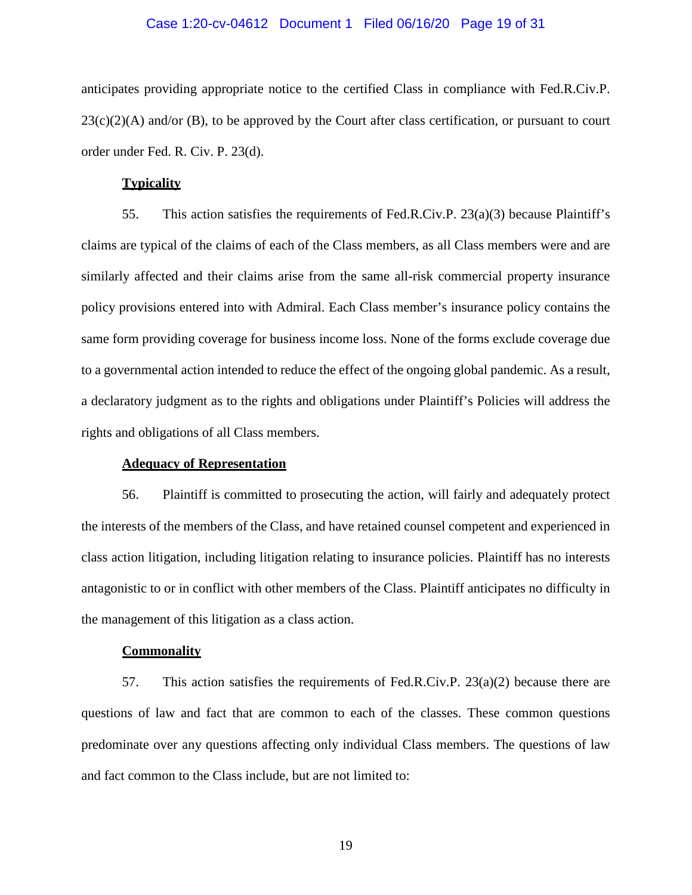## Case 1:20-cv-04612 Document 1 Filed 06/16/20 Page 19 of 31

anticipates providing appropriate notice to the certified Class in compliance with Fed.R.Civ.P.  $23(c)(2)(A)$  and/or (B), to be approved by the Court after class certification, or pursuant to court order under Fed. R. Civ. P. 23(d).

## **Typicality**

55. This action satisfies the requirements of Fed.R.Civ.P.  $23(a)(3)$  because Plaintiff's claims are typical of the claims of each of the Class members, as all Class members were and are similarly affected and their claims arise from the same all-risk commercial property insurance policy provisions entered into with Admiral. Each Class member's insurance policy contains the same form providing coverage for business income loss. None of the forms exclude coverage due to a governmental action intended to reduce the effect of the ongoing global pandemic. As a result, a declaratory judgment as to the rights and obligations under Plaintiff's Policies will address the rights and obligations of all Class members.

## **Adequacy of Representation**

56. Plaintiff is committed to prosecuting the action, will fairly and adequately protect the interests of the members of the Class, and have retained counsel competent and experienced in class action litigation, including litigation relating to insurance policies. Plaintiff has no interests antagonistic to or in conflict with other members of the Class. Plaintiff anticipates no difficulty in the management of this litigation as a class action.

## **Commonality**

57. This action satisfies the requirements of Fed.R.Civ.P. 23(a)(2) because there are questions of law and fact that are common to each of the classes. These common questions predominate over any questions affecting only individual Class members. The questions of law and fact common to the Class include, but are not limited to: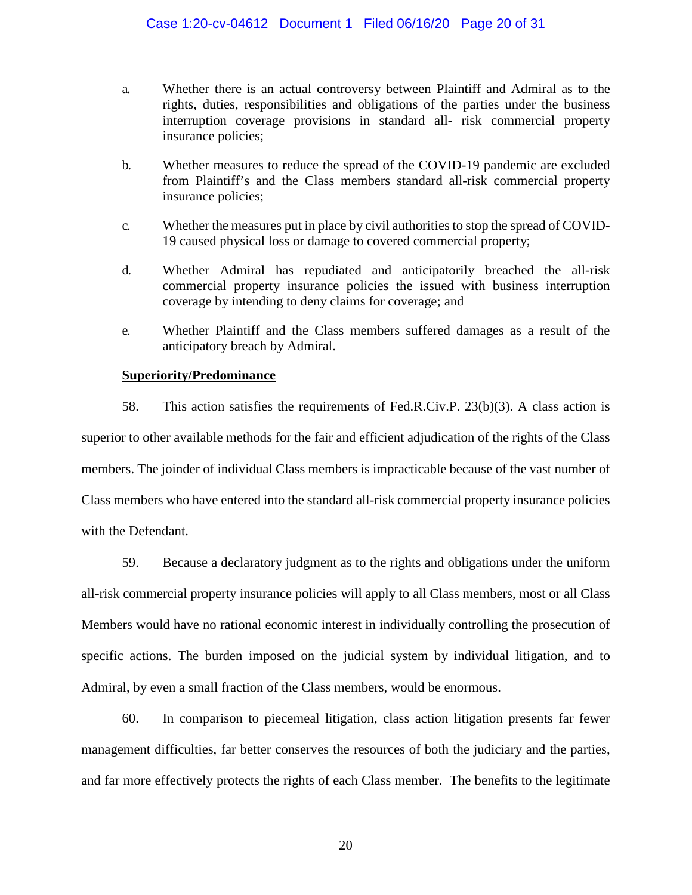- a. Whether there is an actual controversy between Plaintiff and Admiral as to the rights, duties, responsibilities and obligations of the parties under the business interruption coverage provisions in standard all- risk commercial property insurance policies;
- b. Whether measures to reduce the spread of the COVID-19 pandemic are excluded from Plaintiff's and the Class members standard all-risk commercial property insurance policies;
- c. Whether the measures put in place by civil authorities to stop the spread of COVID-19 caused physical loss or damage to covered commercial property;
- d. Whether Admiral has repudiated and anticipatorily breached the all-risk commercial property insurance policies the issued with business interruption coverage by intending to deny claims for coverage; and
- e. Whether Plaintiff and the Class members suffered damages as a result of the anticipatory breach by Admiral.

## **Superiority/Predominance**

58. This action satisfies the requirements of Fed.R.Civ.P. 23(b)(3). A class action is superior to other available methods for the fair and efficient adjudication of the rights of the Class members. The joinder of individual Class members is impracticable because of the vast number of Class members who have entered into the standard all-risk commercial property insurance policies with the Defendant.

59. Because a declaratory judgment as to the rights and obligations under the uniform all-risk commercial property insurance policies will apply to all Class members, most or all Class Members would have no rational economic interest in individually controlling the prosecution of specific actions. The burden imposed on the judicial system by individual litigation, and to Admiral, by even a small fraction of the Class members, would be enormous.

60. In comparison to piecemeal litigation, class action litigation presents far fewer management difficulties, far better conserves the resources of both the judiciary and the parties, and far more effectively protects the rights of each Class member. The benefits to the legitimate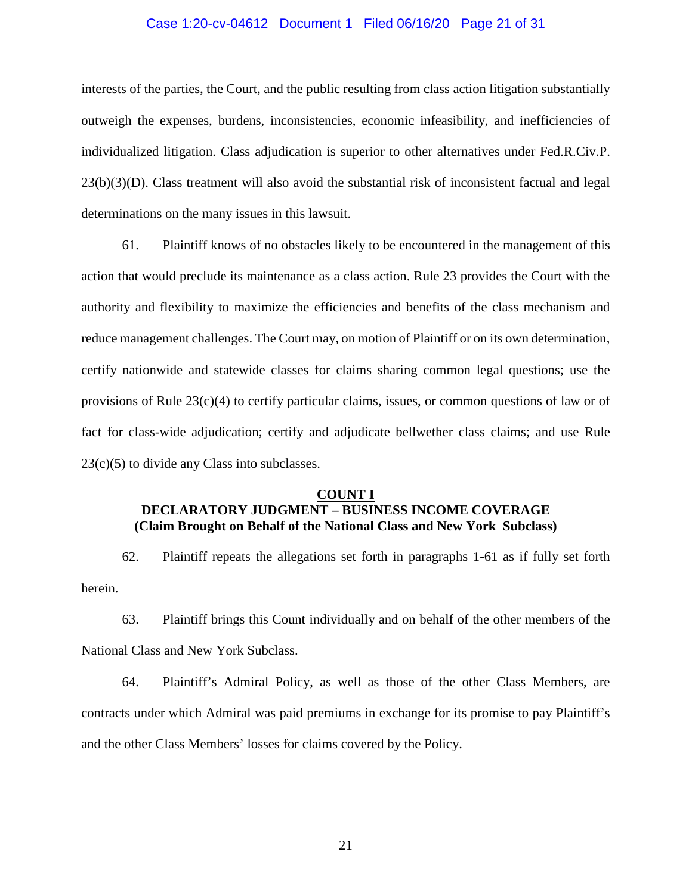## Case 1:20-cv-04612 Document 1 Filed 06/16/20 Page 21 of 31

interests of the parties, the Court, and the public resulting from class action litigation substantially outweigh the expenses, burdens, inconsistencies, economic infeasibility, and inefficiencies of individualized litigation. Class adjudication is superior to other alternatives under Fed.R.Civ.P. 23(b)(3)(D). Class treatment will also avoid the substantial risk of inconsistent factual and legal determinations on the many issues in this lawsuit.

61. Plaintiff knows of no obstacles likely to be encountered in the management of this action that would preclude its maintenance as a class action. Rule 23 provides the Court with the authority and flexibility to maximize the efficiencies and benefits of the class mechanism and reduce management challenges. The Court may, on motion of Plaintiff or on its own determination, certify nationwide and statewide classes for claims sharing common legal questions; use the provisions of Rule 23(c)(4) to certify particular claims, issues, or common questions of law or of fact for class-wide adjudication; certify and adjudicate bellwether class claims; and use Rule 23(c)(5) to divide any Class into subclasses.

#### **COUNT I**

# **DECLARATORY JUDGMENT – BUSINESS INCOME COVERAGE (Claim Brought on Behalf of the National Class and New York Subclass)**

62. Plaintiff repeats the allegations set forth in paragraphs 1-61 as if fully set forth herein.

63. Plaintiff brings this Count individually and on behalf of the other members of the National Class and New York Subclass.

64. Plaintiff's Admiral Policy, as well as those of the other Class Members, are contracts under which Admiral was paid premiums in exchange for its promise to pay Plaintiff's and the other Class Members' losses for claims covered by the Policy.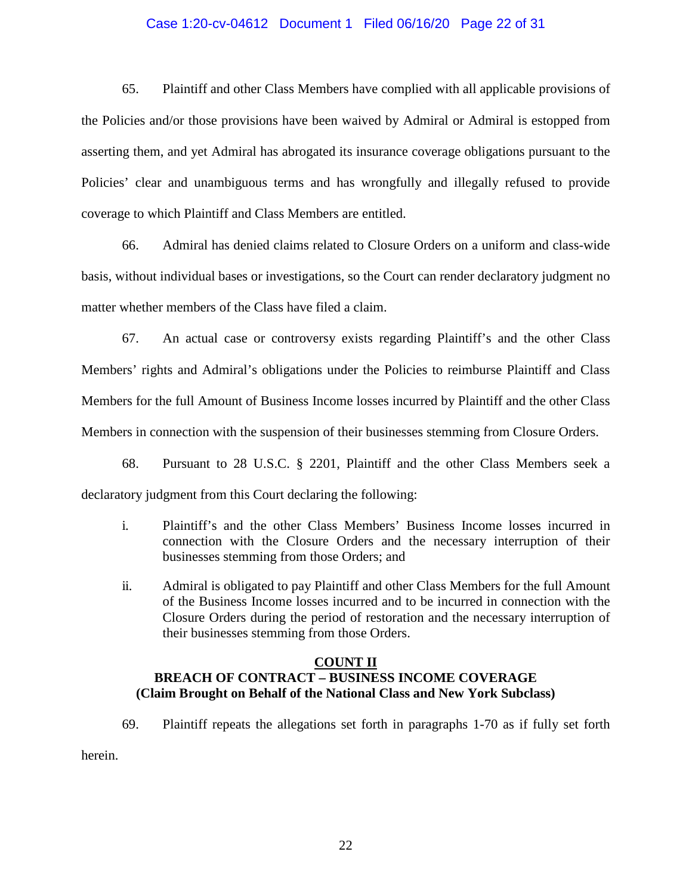## Case 1:20-cv-04612 Document 1 Filed 06/16/20 Page 22 of 31

65. Plaintiff and other Class Members have complied with all applicable provisions of the Policies and/or those provisions have been waived by Admiral or Admiral is estopped from asserting them, and yet Admiral has abrogated its insurance coverage obligations pursuant to the Policies' clear and unambiguous terms and has wrongfully and illegally refused to provide coverage to which Plaintiff and Class Members are entitled.

66. Admiral has denied claims related to Closure Orders on a uniform and class-wide basis, without individual bases or investigations, so the Court can render declaratory judgment no matter whether members of the Class have filed a claim.

67. An actual case or controversy exists regarding Plaintiff's and the other Class Members' rights and Admiral's obligations under the Policies to reimburse Plaintiff and Class Members for the full Amount of Business Income losses incurred by Plaintiff and the other Class Members in connection with the suspension of their businesses stemming from Closure Orders.

68. Pursuant to 28 U.S.C. § 2201, Plaintiff and the other Class Members seek a declaratory judgment from this Court declaring the following:

- i. Plaintiff's and the other Class Members' Business Income losses incurred in connection with the Closure Orders and the necessary interruption of their businesses stemming from those Orders; and
- ii. Admiral is obligated to pay Plaintiff and other Class Members for the full Amount of the Business Income losses incurred and to be incurred in connection with the Closure Orders during the period of restoration and the necessary interruption of their businesses stemming from those Orders.

## **COUNT II**

# **BREACH OF CONTRACT – BUSINESS INCOME COVERAGE (Claim Brought on Behalf of the National Class and New York Subclass)**

69. Plaintiff repeats the allegations set forth in paragraphs 1-70 as if fully set forth

herein.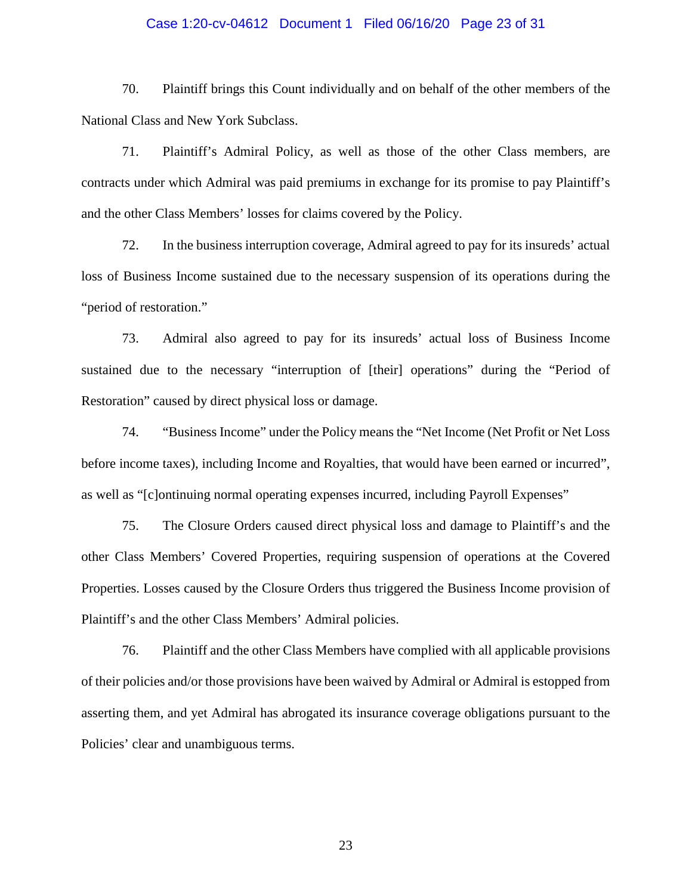## Case 1:20-cv-04612 Document 1 Filed 06/16/20 Page 23 of 31

70. Plaintiff brings this Count individually and on behalf of the other members of the National Class and New York Subclass.

71. Plaintiff's Admiral Policy, as well as those of the other Class members, are contracts under which Admiral was paid premiums in exchange for its promise to pay Plaintiff's and the other Class Members' losses for claims covered by the Policy.

72. In the business interruption coverage, Admiral agreed to pay for its insureds' actual loss of Business Income sustained due to the necessary suspension of its operations during the "period of restoration."

73. Admiral also agreed to pay for its insureds' actual loss of Business Income sustained due to the necessary "interruption of [their] operations" during the "Period of Restoration" caused by direct physical loss or damage.

74. "Business Income" under the Policy means the "Net Income (Net Profit or Net Loss before income taxes), including Income and Royalties, that would have been earned or incurred", as well as "[c]ontinuing normal operating expenses incurred, including Payroll Expenses"

75. The Closure Orders caused direct physical loss and damage to Plaintiff's and the other Class Members' Covered Properties, requiring suspension of operations at the Covered Properties. Losses caused by the Closure Orders thus triggered the Business Income provision of Plaintiff's and the other Class Members' Admiral policies.

76. Plaintiff and the other Class Members have complied with all applicable provisions of their policies and/or those provisions have been waived by Admiral or Admiral is estopped from asserting them, and yet Admiral has abrogated its insurance coverage obligations pursuant to the Policies' clear and unambiguous terms.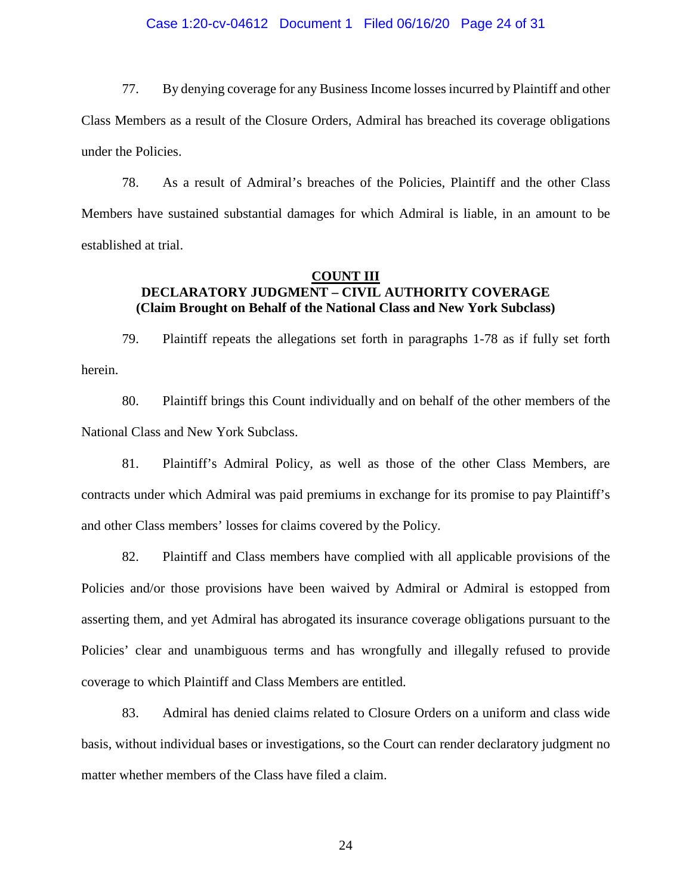## Case 1:20-cv-04612 Document 1 Filed 06/16/20 Page 24 of 31

77. By denying coverage for any Business Income losses incurred by Plaintiff and other Class Members as a result of the Closure Orders, Admiral has breached its coverage obligations under the Policies.

78. As a result of Admiral's breaches of the Policies, Plaintiff and the other Class Members have sustained substantial damages for which Admiral is liable, in an amount to be established at trial.

## **COUNT III DECLARATORY JUDGMENT – CIVIL AUTHORITY COVERAGE (Claim Brought on Behalf of the National Class and New York Subclass)**

79. Plaintiff repeats the allegations set forth in paragraphs 1-78 as if fully set forth herein.

80. Plaintiff brings this Count individually and on behalf of the other members of the National Class and New York Subclass.

81. Plaintiff's Admiral Policy, as well as those of the other Class Members, are contracts under which Admiral was paid premiums in exchange for its promise to pay Plaintiff's and other Class members' losses for claims covered by the Policy.

82. Plaintiff and Class members have complied with all applicable provisions of the Policies and/or those provisions have been waived by Admiral or Admiral is estopped from asserting them, and yet Admiral has abrogated its insurance coverage obligations pursuant to the Policies' clear and unambiguous terms and has wrongfully and illegally refused to provide coverage to which Plaintiff and Class Members are entitled.

83. Admiral has denied claims related to Closure Orders on a uniform and class wide basis, without individual bases or investigations, so the Court can render declaratory judgment no matter whether members of the Class have filed a claim.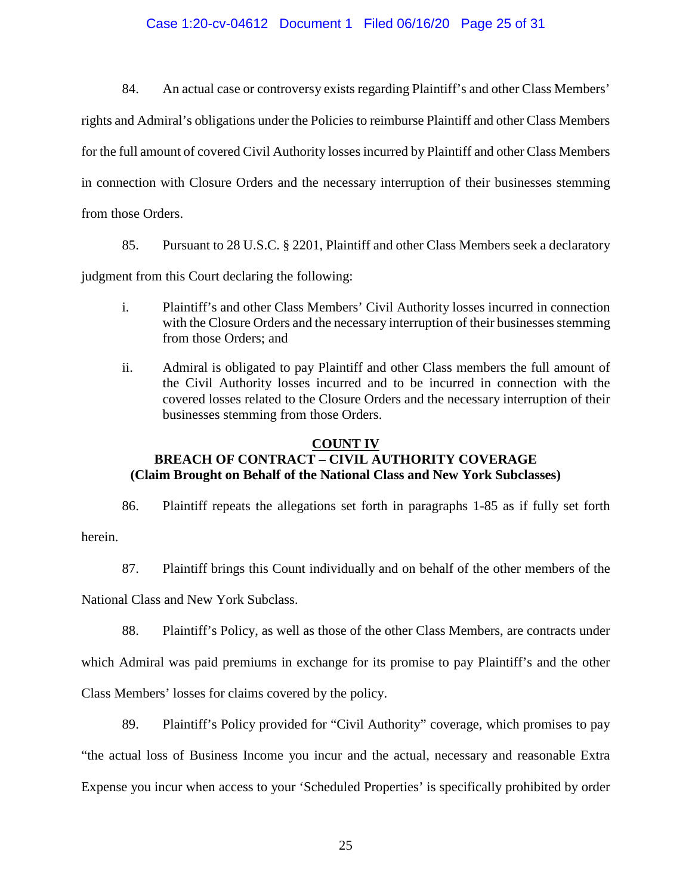## Case 1:20-cv-04612 Document 1 Filed 06/16/20 Page 25 of 31

84. An actual case or controversy exists regarding Plaintiff's and other Class Members'

rights and Admiral's obligations under the Policies to reimburse Plaintiff and other Class Members

for the full amount of covered Civil Authority losses incurred by Plaintiff and other Class Members

in connection with Closure Orders and the necessary interruption of their businesses stemming

from those Orders.

85. Pursuant to 28 U.S.C. § 2201, Plaintiff and other Class Members seek a declaratory

judgment from this Court declaring the following:

- i. Plaintiff's and other Class Members' Civil Authority losses incurred in connection with the Closure Orders and the necessary interruption of their businesses stemming from those Orders; and
- ii. Admiral is obligated to pay Plaintiff and other Class members the full amount of the Civil Authority losses incurred and to be incurred in connection with the covered losses related to the Closure Orders and the necessary interruption of their businesses stemming from those Orders.

# **COUNT IV BREACH OF CONTRACT – CIVIL AUTHORITY COVERAGE (Claim Brought on Behalf of the National Class and New York Subclasses)**

86. Plaintiff repeats the allegations set forth in paragraphs 1-85 as if fully set forth herein.

87. Plaintiff brings this Count individually and on behalf of the other members of the

National Class and New York Subclass.

88. Plaintiff's Policy, as well as those of the other Class Members, are contracts under

which Admiral was paid premiums in exchange for its promise to pay Plaintiff's and the other

Class Members' losses for claims covered by the policy.

89. Plaintiff's Policy provided for "Civil Authority" coverage, which promises to pay "the actual loss of Business Income you incur and the actual, necessary and reasonable Extra Expense you incur when access to your 'Scheduled Properties' is specifically prohibited by order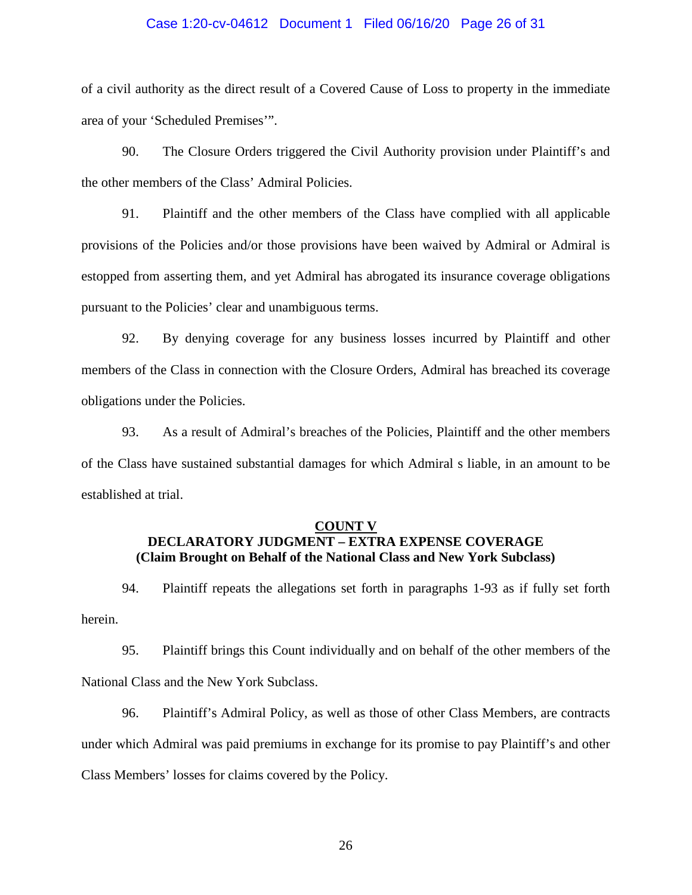## Case 1:20-cv-04612 Document 1 Filed 06/16/20 Page 26 of 31

of a civil authority as the direct result of a Covered Cause of Loss to property in the immediate area of your 'Scheduled Premises'".

90. The Closure Orders triggered the Civil Authority provision under Plaintiff's and the other members of the Class' Admiral Policies.

91. Plaintiff and the other members of the Class have complied with all applicable provisions of the Policies and/or those provisions have been waived by Admiral or Admiral is estopped from asserting them, and yet Admiral has abrogated its insurance coverage obligations pursuant to the Policies' clear and unambiguous terms.

92. By denying coverage for any business losses incurred by Plaintiff and other members of the Class in connection with the Closure Orders, Admiral has breached its coverage obligations under the Policies.

93. As a result of Admiral's breaches of the Policies, Plaintiff and the other members of the Class have sustained substantial damages for which Admiral s liable, in an amount to be established at trial.

## **COUNT V**

# **DECLARATORY JUDGMENT – EXTRA EXPENSE COVERAGE (Claim Brought on Behalf of the National Class and New York Subclass)**

94. Plaintiff repeats the allegations set forth in paragraphs 1-93 as if fully set forth herein.

95. Plaintiff brings this Count individually and on behalf of the other members of the National Class and the New York Subclass.

96. Plaintiff's Admiral Policy, as well as those of other Class Members, are contracts under which Admiral was paid premiums in exchange for its promise to pay Plaintiff's and other Class Members' losses for claims covered by the Policy.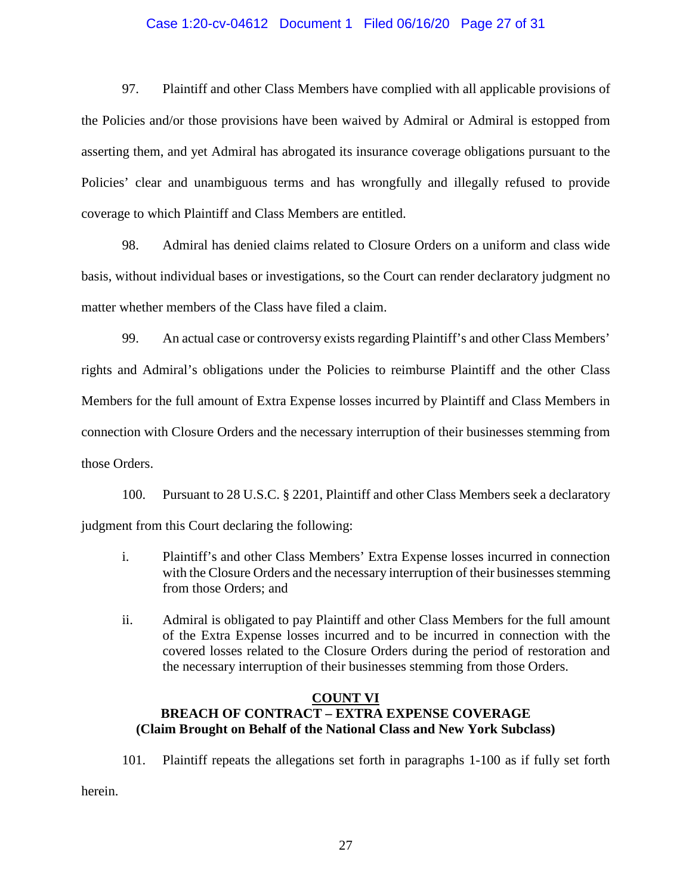## Case 1:20-cv-04612 Document 1 Filed 06/16/20 Page 27 of 31

97. Plaintiff and other Class Members have complied with all applicable provisions of the Policies and/or those provisions have been waived by Admiral or Admiral is estopped from asserting them, and yet Admiral has abrogated its insurance coverage obligations pursuant to the Policies' clear and unambiguous terms and has wrongfully and illegally refused to provide coverage to which Plaintiff and Class Members are entitled.

98. Admiral has denied claims related to Closure Orders on a uniform and class wide basis, without individual bases or investigations, so the Court can render declaratory judgment no matter whether members of the Class have filed a claim.

99. An actual case or controversy exists regarding Plaintiff's and other Class Members' rights and Admiral's obligations under the Policies to reimburse Plaintiff and the other Class Members for the full amount of Extra Expense losses incurred by Plaintiff and Class Members in connection with Closure Orders and the necessary interruption of their businesses stemming from those Orders.

100. Pursuant to 28 U.S.C. § 2201, Plaintiff and other Class Members seek a declaratory judgment from this Court declaring the following:

- i. Plaintiff's and other Class Members' Extra Expense losses incurred in connection with the Closure Orders and the necessary interruption of their businesses stemming from those Orders; and
- ii. Admiral is obligated to pay Plaintiff and other Class Members for the full amount of the Extra Expense losses incurred and to be incurred in connection with the covered losses related to the Closure Orders during the period of restoration and the necessary interruption of their businesses stemming from those Orders.

# **COUNT VI BREACH OF CONTRACT – EXTRA EXPENSE COVERAGE (Claim Brought on Behalf of the National Class and New York Subclass)**

101. Plaintiff repeats the allegations set forth in paragraphs 1-100 as if fully set forth

herein.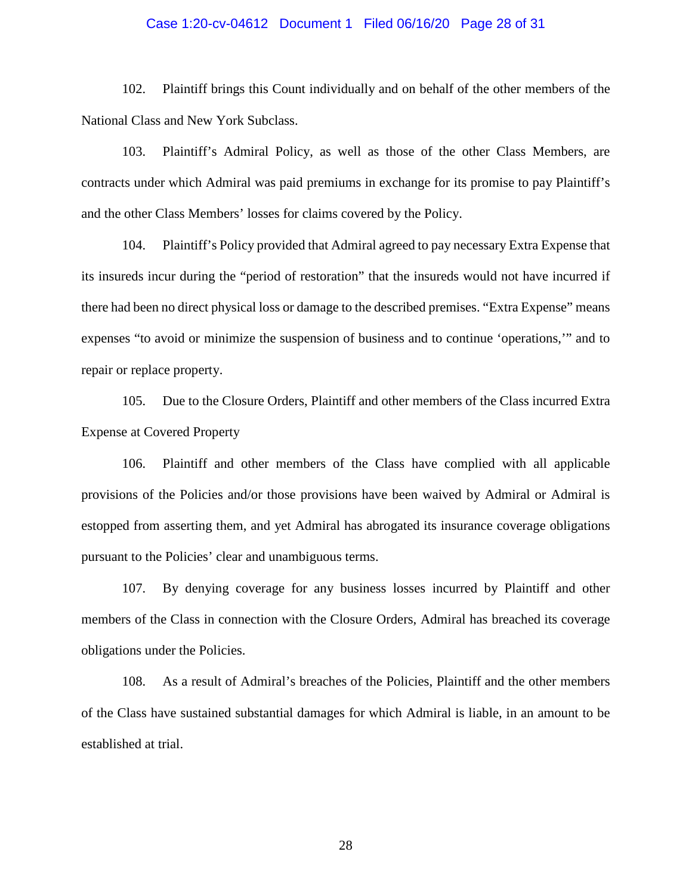## Case 1:20-cv-04612 Document 1 Filed 06/16/20 Page 28 of 31

102. Plaintiff brings this Count individually and on behalf of the other members of the National Class and New York Subclass.

103. Plaintiff's Admiral Policy, as well as those of the other Class Members, are contracts under which Admiral was paid premiums in exchange for its promise to pay Plaintiff's and the other Class Members' losses for claims covered by the Policy.

104. Plaintiff's Policy provided that Admiral agreed to pay necessary Extra Expense that its insureds incur during the "period of restoration" that the insureds would not have incurred if there had been no direct physical loss or damage to the described premises. "Extra Expense" means expenses "to avoid or minimize the suspension of business and to continue 'operations,'" and to repair or replace property.

105. Due to the Closure Orders, Plaintiff and other members of the Class incurred Extra Expense at Covered Property

106. Plaintiff and other members of the Class have complied with all applicable provisions of the Policies and/or those provisions have been waived by Admiral or Admiral is estopped from asserting them, and yet Admiral has abrogated its insurance coverage obligations pursuant to the Policies' clear and unambiguous terms.

107. By denying coverage for any business losses incurred by Plaintiff and other members of the Class in connection with the Closure Orders, Admiral has breached its coverage obligations under the Policies.

108. As a result of Admiral's breaches of the Policies, Plaintiff and the other members of the Class have sustained substantial damages for which Admiral is liable, in an amount to be established at trial.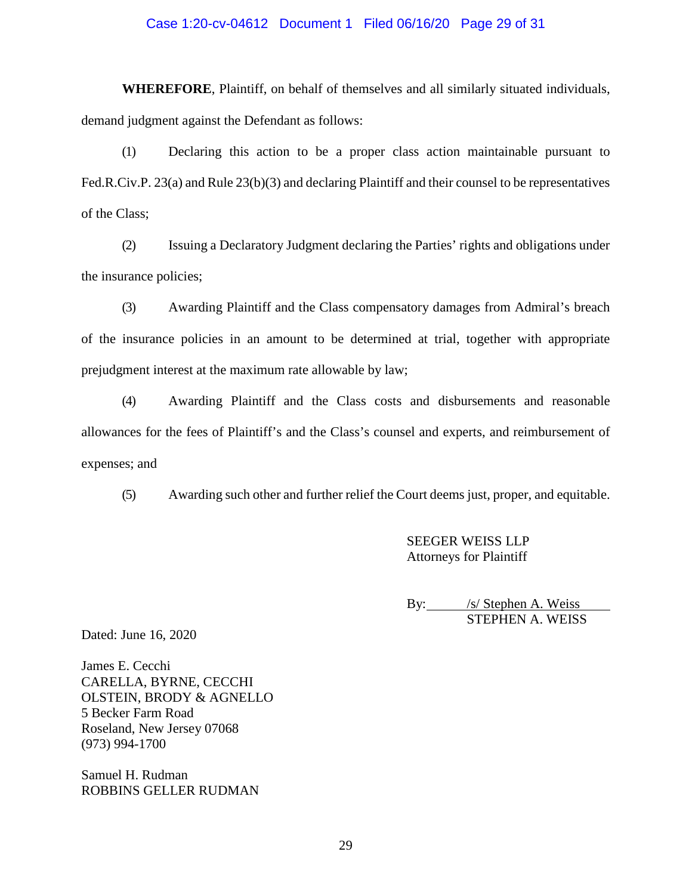## Case 1:20-cv-04612 Document 1 Filed 06/16/20 Page 29 of 31

**WHEREFORE**, Plaintiff, on behalf of themselves and all similarly situated individuals, demand judgment against the Defendant as follows:

(1) Declaring this action to be a proper class action maintainable pursuant to Fed.R.Civ.P. 23(a) and Rule 23(b)(3) and declaring Plaintiff and their counsel to be representatives of the Class;

(2) Issuing a Declaratory Judgment declaring the Parties' rights and obligations under the insurance policies;

(3) Awarding Plaintiff and the Class compensatory damages from Admiral's breach of the insurance policies in an amount to be determined at trial, together with appropriate prejudgment interest at the maximum rate allowable by law;

(4) Awarding Plaintiff and the Class costs and disbursements and reasonable allowances for the fees of Plaintiff's and the Class's counsel and experts, and reimbursement of expenses; and

(5) Awarding such other and further relief the Court deems just, proper, and equitable.

SEEGER WEISS LLP Attorneys for Plaintiff

By: /s/ Stephen A. Weiss STEPHEN A. WEISS

Dated: June 16, 2020

James E. Cecchi CARELLA, BYRNE, CECCHI OLSTEIN, BRODY & AGNELLO 5 Becker Farm Road Roseland, New Jersey 07068 (973) 994-1700

Samuel H. Rudman ROBBINS GELLER RUDMAN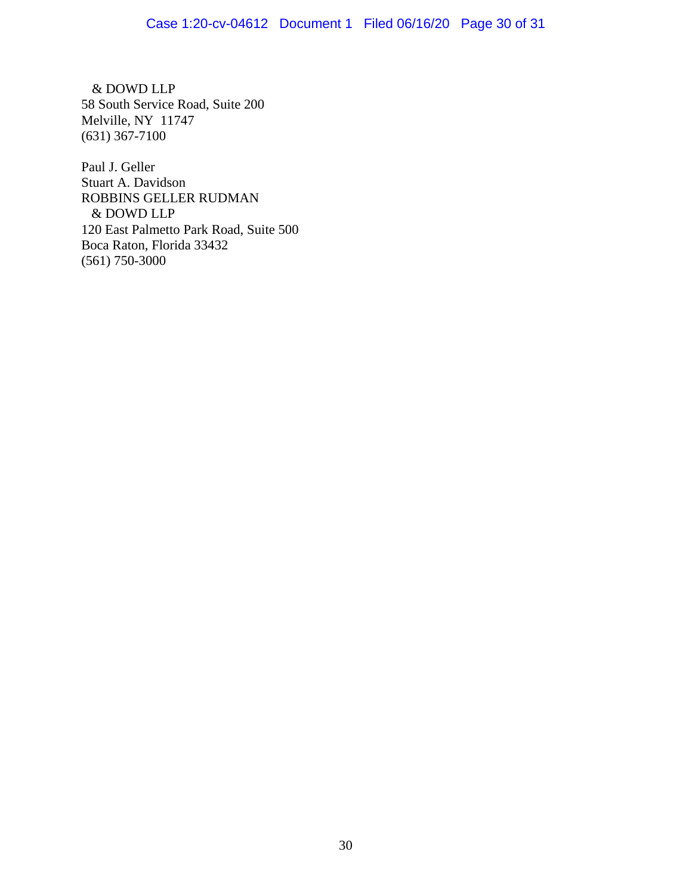& DOWD LLP 58 South Service Road, Suite 200 Melville, NY 11747 (631) 367-7100

Paul J. Geller Stuart A. Davidson ROBBINS GELLER RUDMAN & DOWD LLP 120 East Palmetto Park Road, Suite 500 Boca Raton, Florida 33432 (561) 750-3000